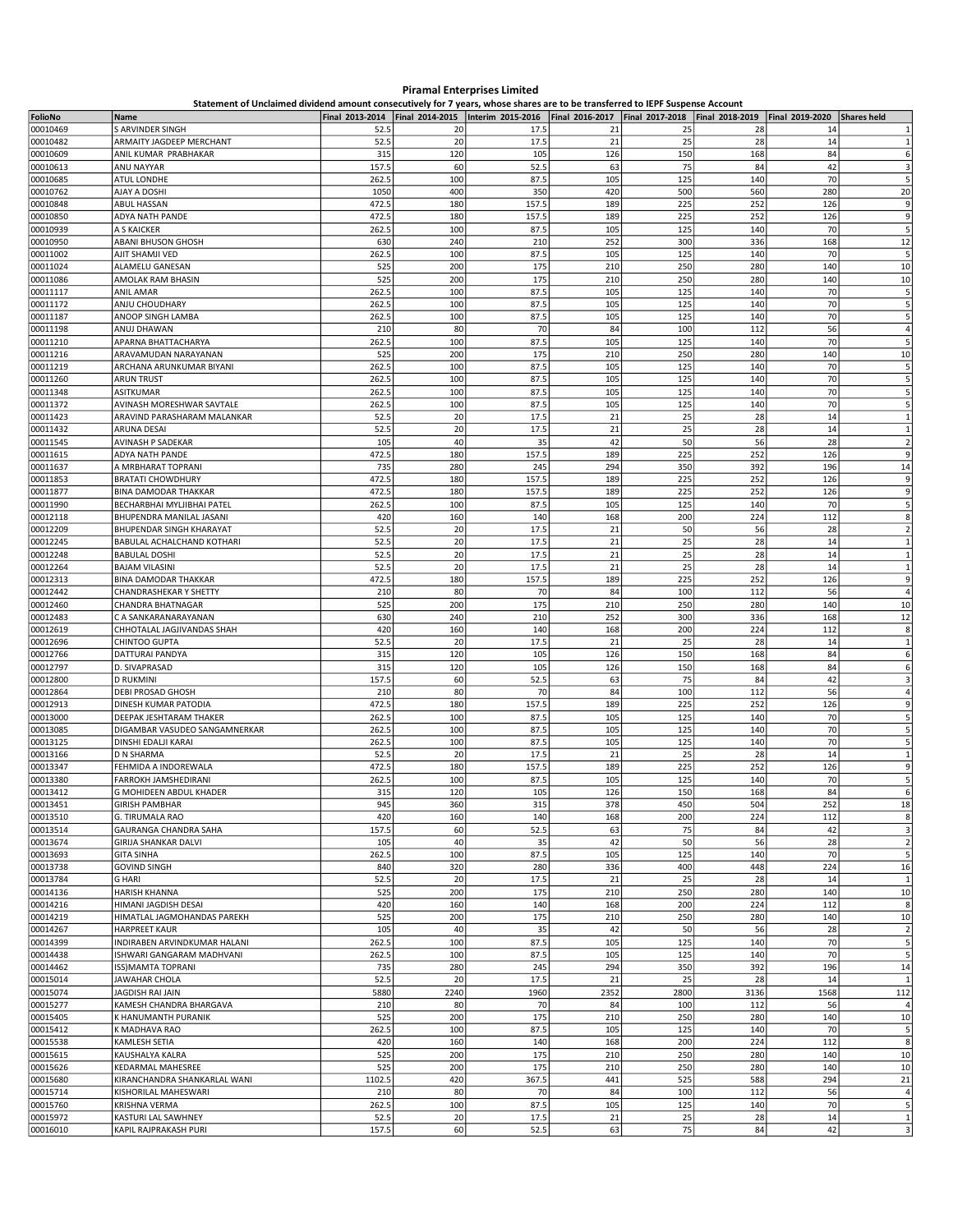## Piramal Enterprises Limited

Statement of Unclaimed dividend amount consecutively for 7 years, whose shares are to be transferred to IEPF Suspense Account

| FolioNo              | Statement of Onclaimed dividend amount consecutively for 7 years, whose shares are to be transferred to leFF Suspense Account<br>Name |             |            | Final 2013-2014   Final 2014-2015   Interim 2015-2016   Final 2016-2017   Final 2017-2018   Final 2018-2019   Final 2019-2020 |            |            |            |            | Shares held             |
|----------------------|---------------------------------------------------------------------------------------------------------------------------------------|-------------|------------|-------------------------------------------------------------------------------------------------------------------------------|------------|------------|------------|------------|-------------------------|
| 00010469             | S ARVINDER SINGH                                                                                                                      | 52.5        | 20         | 17.5                                                                                                                          | 21         | 25         | 28         | 14         | $\mathbf{1}$            |
| 00010482             | ARMAITY JAGDEEP MERCHANT                                                                                                              | 52.5        | 20         | 17.5                                                                                                                          | 21         | 25         | 28         | 14         | $\mathbf{1}$            |
| 00010609             | ANIL KUMAR PRABHAKAR                                                                                                                  | 315         | 120        | 105                                                                                                                           | 126        | 150        | 168        | 84         | 6                       |
| 00010613             | ANU NAYYAR                                                                                                                            | 157.5       | 60         | 52.5                                                                                                                          | 63         | 75         | 84         | 42         | 3                       |
| 00010685             | ATUL LONDHE                                                                                                                           | 262.5       | 100        | 87.5                                                                                                                          | 105        | 125        | 140        | 70         | 5                       |
| 00010762             | AJAY A DOSHI                                                                                                                          | 1050        | 400        | 350                                                                                                                           | 420        | 500        | 560        | 280        | 20                      |
| 00010848             | <b>ABUL HASSAN</b>                                                                                                                    | 472.5       | 180        | 157.5                                                                                                                         | 189        | 225        | 252        | 126        | 9                       |
| 00010850             | ADYA NATH PANDE                                                                                                                       | 472.5       | 180        | 157.5                                                                                                                         | 189        | 225        | 252        | 126        | 9                       |
| 00010939             | A S KAICKER                                                                                                                           | 262.5       | 100        | 87.5                                                                                                                          | 105        | 125        | 140        | 70         | 5                       |
| 00010950             | ABANI BHUSON GHOSH                                                                                                                    | 630         | 240        | 210                                                                                                                           | 252        | 300        | 336        | 168        | 12                      |
| 00011002             | AJIT SHAMJI VED                                                                                                                       | 262.5       | 100        | 87.5                                                                                                                          | 105        | 125        | 140        | 70         | 5                       |
| 00011024             | ALAMELU GANESAN                                                                                                                       | 525         | 200        | 175                                                                                                                           | 210        | 250        | 280        | 140        | 10                      |
| 00011086             | AMOLAK RAM BHASIN                                                                                                                     | 525         | 200        | 175                                                                                                                           | 210        | 250        | 280        | 140        | 10                      |
| 00011117             | <b>ANIL AMAR</b>                                                                                                                      | 262.5       | 100        | 87.5                                                                                                                          | 105        | 125        | 140        | 70         | 5                       |
| 00011172             | ANJU CHOUDHARY                                                                                                                        | 262.5       | 100        | 87.5                                                                                                                          | 105        | 125        | 140        | 70         | 5                       |
| 00011187             | ANOOP SINGH LAMBA                                                                                                                     | 262.5       | 100        | 87.5                                                                                                                          | 105        | 125        | 140        | 70         | 5                       |
| 00011198             | ANUJ DHAWAN                                                                                                                           | 210         | 80         | 70                                                                                                                            | 84         | 100        | 112        | 56         | $\overline{a}$          |
| 00011210             | APARNA BHATTACHARYA                                                                                                                   | 262.5       | 100        | 87.5                                                                                                                          | 105        | 125        | 140        | 70         | 5                       |
| 00011216             | ARAVAMUDAN NARAYANAN                                                                                                                  | 525         | 200        | 175                                                                                                                           | 210        | 250        | 280        | 140        | 10                      |
| 00011219             | ARCHANA ARUNKUMAR BIYANI                                                                                                              | 262.5       | 100        | 87.5                                                                                                                          | 105        | 125        | 140        | 70         | 5                       |
| 00011260             | <b>ARUN TRUST</b>                                                                                                                     | 262.5       | 100        | 87.5                                                                                                                          | 105        | 125        | 140        | 70         | 5                       |
| 00011348             | ASITKUMAR                                                                                                                             | 262.5       | 100        | 87.5                                                                                                                          | 105        | 125        | 140        | 70         | 5                       |
| 00011372             | AVINASH MORESHWAR SAVTALE                                                                                                             | 262.5       | 100        | 87.5                                                                                                                          | 105        | 125        | 140        | 70         | 5                       |
| 00011423             | ARAVIND PARASHARAM MALANKAR                                                                                                           | 52.5        | 20         | 17.5                                                                                                                          | 21         | 25         | 28         | 14         | $\mathbf{1}$            |
| 00011432             | <b>ARUNA DESAI</b>                                                                                                                    | 52.5        | 20         | 17.5                                                                                                                          | 21         | 25         | 28         | 14         | $\mathbf{1}$            |
| 00011545             | AVINASH P SADEKAR                                                                                                                     | 105         | 40         | 35                                                                                                                            | 42         | 50         | 56         | 28         | $\overline{\mathbf{2}}$ |
| 00011615             | ADYA NATH PANDE                                                                                                                       | 472.5       | 180        | 157.5                                                                                                                         | 189        | 225        | 252        | 126        | 9                       |
| 00011637             | A MRBHARAT TOPRANI                                                                                                                    | 735         | 280        | 245                                                                                                                           | 294        | 350        | 392        | 196        | 14                      |
| 00011853             | <b>BRATATI CHOWDHURY</b>                                                                                                              | 472.5       | 180        | 157.5                                                                                                                         | 189        | 225        | 252        | 126        | 9                       |
| 00011877             | <b>BINA DAMODAR THAKKAR</b>                                                                                                           | 472.5       | 180        | 157.5                                                                                                                         | 189        | 225        | 252        | 126        | 9                       |
| 00011990             | BECHARBHAI MYLJIBHAI PATEL                                                                                                            | 262.5       | 100        | 87.5                                                                                                                          | 105        | 125        | 140        | 70         | 5                       |
| 00012118             | BHUPENDRA MANILAL JASANI                                                                                                              | 420         | 160        | 140                                                                                                                           | 168        | 200        | 224        | 112        | 8                       |
| 00012209             | BHUPENDAR SINGH KHARAYAT                                                                                                              | 52.5        | 20         | 17.5                                                                                                                          | 21         | 50         | 56         | 28         | $\overline{\mathbf{2}}$ |
| 00012245             | BABULAL ACHALCHAND KOTHARI                                                                                                            | 52.5        | 20         | 17.5                                                                                                                          | 21         | 25         | 28         | 14         | $\mathbf{1}$            |
| 00012248             | <b>BABULAL DOSHI</b>                                                                                                                  | 52.5        | 20         | 17.5                                                                                                                          | 21         | 25         | 28         | 14         | 1                       |
| 00012264             | <b>BAJAM VILASINI</b>                                                                                                                 | 52.5        | 20         | 17.5                                                                                                                          | 21         | 25         | 28         | 14         | $\mathbf{1}$            |
| 00012313             | BINA DAMODAR THAKKAR                                                                                                                  | 472.5       | 180        | 157.5                                                                                                                         | 189        | 225        | 252        | 126        | 9<br>$\overline{4}$     |
| 00012442             | <b>CHANDRASHEKAR Y SHETTY</b>                                                                                                         | 210         | 80         | 70                                                                                                                            | 84         | 100        | 112        | 56         |                         |
| 00012460<br>00012483 | CHANDRA BHATNAGAR<br>C A SANKARANARAYANAN                                                                                             | 525<br>630  | 200<br>240 | 175<br>210                                                                                                                    | 210<br>252 | 250<br>300 | 280<br>336 | 140<br>168 | 10<br>12                |
| 00012619             | CHHOTALAL JAGJIVANDAS SHAH                                                                                                            | 420         | 160        | 140                                                                                                                           | 168        | 200        | 224        | 112        | 8                       |
| 00012696             | CHINTOO GUPTA                                                                                                                         | 52.5        | 20         | 17.5                                                                                                                          | 21         | 25         | 28         | 14         | 1                       |
| 00012766             | DATTURAI PANDYA                                                                                                                       | 315         | 120        | 105                                                                                                                           | 126        | 150        | 168        | 84         | 6                       |
| 00012797             | D. SIVAPRASAD                                                                                                                         | 315         | 120        | 105                                                                                                                           | 126        | 150        | 168        | 84         | 6                       |
| 00012800             | <b>D RUKMINI</b>                                                                                                                      | 157.5       | 60         | 52.5                                                                                                                          | 63         | 75         | 84         | 42         | 3                       |
| 00012864             | DEBI PROSAD GHOSH                                                                                                                     | 210         | 80         | 70                                                                                                                            | 84         | 100        | 112        | 56         | $\overline{4}$          |
| 00012913             | DINESH KUMAR PATODIA                                                                                                                  | 472.5       | 180        | 157.5                                                                                                                         | 189        | 225        | 252        | 126        | 9                       |
| 00013000             | DEEPAK JESHTARAM THAKER                                                                                                               | 262.5       | 100        | 87.5                                                                                                                          | 105        | 125        | 140        | 70         | 5                       |
| 00013085             | DIGAMBAR VASUDEO SANGAMNERKAR                                                                                                         | 262.5       | 100        | 87.5                                                                                                                          | 105        | 125        | 140        | 70         | 5                       |
| 00013125             | DINSHI EDALJI KARAI                                                                                                                   | 262.5       | 100        | 87.5                                                                                                                          | 105        | 125        | 140        | 70         | 5                       |
| 00013166             | D N SHARMA                                                                                                                            | 52.5        | 20         | 17.5                                                                                                                          | 21         | 25         | 28         | 14         | 1                       |
| 00013347             | FEHMIDA A INDOREWALA                                                                                                                  | 472.5       | 180        | 157.5                                                                                                                         | 189        | 225        | 252        | 126        | 9                       |
| 00013380             | FARROKH JAMSHEDIRANI                                                                                                                  | 262.5       | 100        | 87.5                                                                                                                          | 105        | 125        | 140        | 70         | 5                       |
| 00013412             | G MOHIDEEN ABDUL KHADER                                                                                                               | 315         | 120        | 105                                                                                                                           | 126        | 150        | 168        | 84         | 6                       |
| 00013451             | GIRISH PAMBHAR                                                                                                                        | 945         | 360        | 315                                                                                                                           | 378        | 450        | 504        | 252        | 18                      |
| 00013510             | G. TIRUMALA RAO                                                                                                                       | 420         | 160        | 140                                                                                                                           | 168        | 200        | 224        | 112        | 8                       |
| 00013514             | GAURANGA CHANDRA SAHA                                                                                                                 | 157.5       | 60         | 52.5                                                                                                                          | 63         | 75         | 84         | 42         | 3                       |
| 00013674             | <b>GIRIJA SHANKAR DALVI</b>                                                                                                           | 105         | 40         | 35                                                                                                                            | 42         | 50         | 56         | 28         | $\overline{2}$          |
| 00013693             | <b>GITA SINHA</b>                                                                                                                     | 262.5       | 100        | 87.5                                                                                                                          | 105        | 125        | 140        | 70         | 5                       |
| 00013738             | <b>GOVIND SINGH</b>                                                                                                                   | 840         | 320        | 280                                                                                                                           | 336        | 400        | 448        | 224        | 16                      |
| 00013784             | <b>G HARI</b>                                                                                                                         | 52.5        | 20         | 17.5                                                                                                                          | 21         | 25         | 28         | 14         | $\mathbf{1}$            |
| 00014136             | <b>HARISH KHANNA</b>                                                                                                                  | 525         | 200        | 175                                                                                                                           | 210        | 250        | 280        | 140        | 10                      |
| 00014216             | HIMANI JAGDISH DESAI                                                                                                                  | 420         | 160        | 140                                                                                                                           | 168        | 200        | 224        | 112        | 8                       |
| 00014219             | HIMATLAL JAGMOHANDAS PAREKH<br><b>HARPREET KAUR</b>                                                                                   | 525         | 200        | 175                                                                                                                           | 210        | 250        | 280        | 140        | 10                      |
| 00014267             |                                                                                                                                       | 105         | 40         | 35                                                                                                                            | 42         | 50         | 56         | 28         | $\overline{\mathbf{c}}$ |
| 00014399             | INDIRABEN ARVINDKUMAR HALANI                                                                                                          | 262.5       | 100<br>100 | 87.5                                                                                                                          | 105        | 125        | 140<br>140 | 70<br>70   | 5                       |
| 00014438             | ISHWARI GANGARAM MADHVANI                                                                                                             | 262.5       |            | 87.5                                                                                                                          | 105        | 125<br>350 | 392        |            | 5                       |
| 00014462<br>00015014 | ISS) MAMTA TOPRANI<br><b>JAWAHAR CHOLA</b>                                                                                            | 735<br>52.5 | 280<br>20  | 245<br>17.5                                                                                                                   | 294<br>21  | 25         | 28         | 196<br>14  | 14<br>$\mathbf{1}$      |
| 00015074             | JAGDISH RAI JAIN                                                                                                                      | 5880        | 2240       | 1960                                                                                                                          | 2352       | 2800       | 3136       | 1568       | 112                     |
| 00015277             | KAMESH CHANDRA BHARGAVA                                                                                                               | 210         | 80         | 70                                                                                                                            | 84         | 100        | 112        | 56         | $\overline{4}$          |
| 00015405             | K HANUMANTH PURANIK                                                                                                                   | 525         | 200        | 175                                                                                                                           | 210        | 250        | 280        | 140        | 10                      |
| 00015412             | K MADHAVA RAO                                                                                                                         | 262.5       | 100        | 87.5                                                                                                                          | 105        | 125        | 140        | 70         | 5                       |
| 00015538             | <b>KAMLESH SETIA</b>                                                                                                                  | 420         | 160        | 140                                                                                                                           | 168        | 200        | 224        | 112        | 8                       |
| 00015615             | KAUSHALYA KALRA                                                                                                                       | 525         | 200        | 175                                                                                                                           | 210        | 250        | 280        | 140        | 10                      |
| 00015626             | KEDARMAL MAHESREE                                                                                                                     | 525         | 200        | 175                                                                                                                           | 210        | 250        | 280        | 140        | 10                      |
| 00015680             | KIRANCHANDRA SHANKARLAL WANI                                                                                                          | 1102.5      | 420        | 367.5                                                                                                                         | 441        | 525        | 588        | 294        | 21                      |
| 00015714             | KISHORILAL MAHESWARI                                                                                                                  | 210         | 80         | 70                                                                                                                            | 84         | 100        | 112        | 56         | $\overline{a}$          |
| 00015760             | KRISHNA VERMA                                                                                                                         | 262.5       | 100        | 87.5                                                                                                                          | 105        | 125        | 140        | 70         | 5                       |
| 00015972             | KASTURI LAL SAWHNEY                                                                                                                   | 52.5        | 20         | 17.5                                                                                                                          | 21         | 25         | 28         | 14         | 1                       |
| 00016010             | KAPIL RAJPRAKASH PURI                                                                                                                 | 157.5       | 60         | 52.5                                                                                                                          | 63         | 75         | 84         | 42         | 3                       |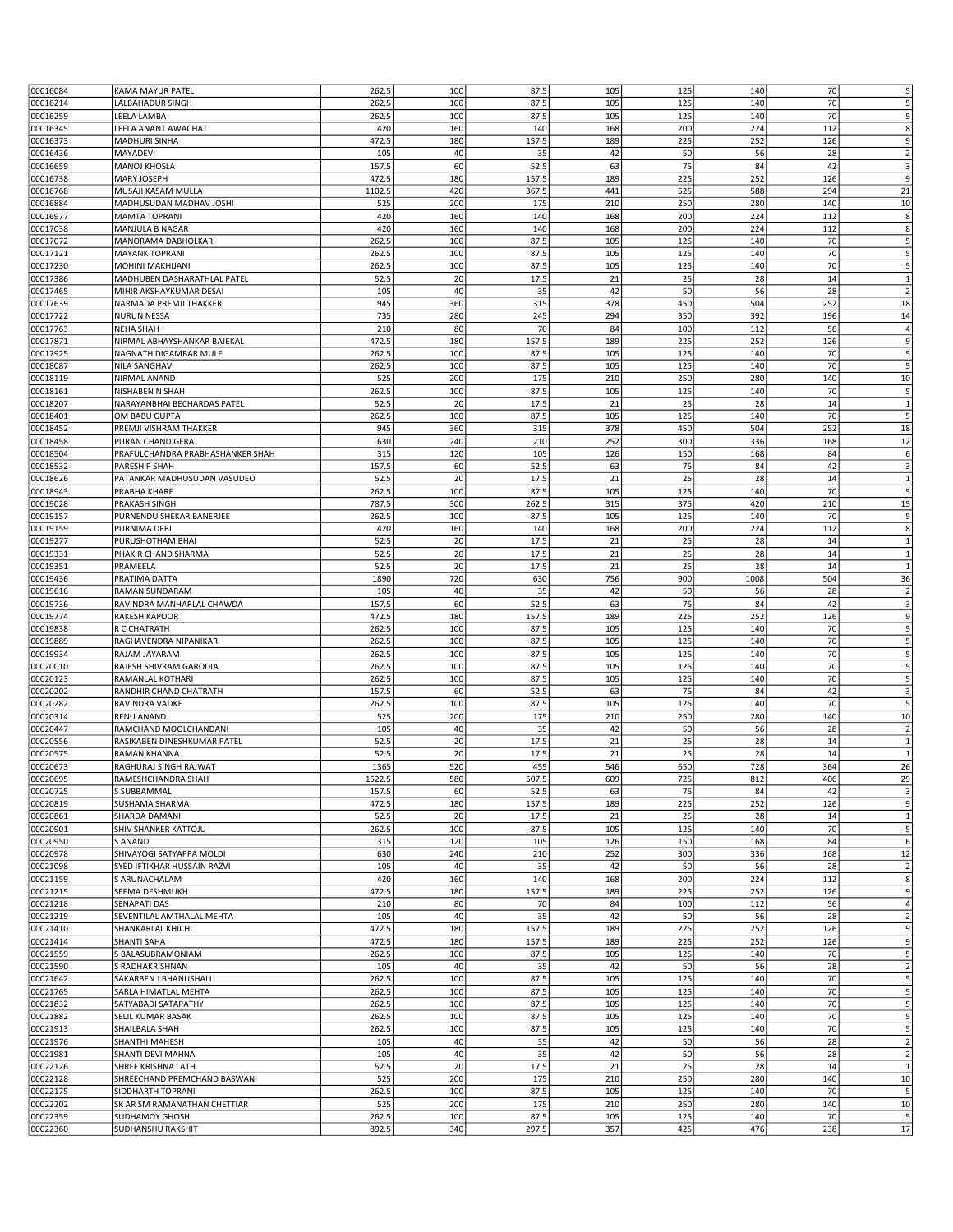|                      |                                     |                |            |               |            |            |            | 70        |                                                                             |
|----------------------|-------------------------------------|----------------|------------|---------------|------------|------------|------------|-----------|-----------------------------------------------------------------------------|
| 00016084             | <b>KAMA MAYUR PATEL</b>             | 262.5          | 100        | 87.5          | 105        | 125        | 140        |           | 5                                                                           |
| 00016214             | LALBAHADUR SINGH                    | 262.5          | 100        | 87.5          | 105        | 125        | 140        | 70        | 5                                                                           |
| 00016259             | LEELA LAMBA                         | 262.5          | 100        | 87.5          | 105        | 125        | 140        | 70        | 5                                                                           |
|                      |                                     |                |            |               |            |            |            | 112       |                                                                             |
| 00016345             | LEELA ANANT AWACHAT                 | 420            | 160        | 140           | 168        | 200        | 224        |           | 8                                                                           |
| 00016373             | <b>MADHURI SINHA</b>                | 472.5          | 180        | 157.5         | 189        | 225        | 252        | 126       | 9                                                                           |
| 00016436             | MAYADEVI                            | 105            | 40         | 35            | 42         | 50         | 56         | 28        | $\overline{2}$                                                              |
| 00016659             | <b>MANOJ KHOSLA</b>                 | 157.5          | 60         | 52.5          | 63         | 75         | 84         | 42        | 3                                                                           |
|                      |                                     |                |            |               |            |            |            |           |                                                                             |
| 00016738             | <b>MARY JOSEPH</b>                  | 472.5          | 180        | 157.5         | 189        | 225        | 252        | 126       | 9                                                                           |
| 00016768             | MUSAJI KASAM MULLA                  | 1102.5         | 420        | 367.5         | 441        | 525        | 588        | 294       | 21                                                                          |
|                      |                                     |                |            |               |            |            |            |           |                                                                             |
| 00016884             | MADHUSUDAN MADHAV JOSHI             | 525            | 200        | 175           | 210        | 250        | 280        | 140       | 10                                                                          |
| 00016977             | <b>MAMTA TOPRANI</b>                | 420            | 160        | 140           | 168        | 200        | 224        | 112       | 8                                                                           |
| 00017038             | <b>MANJULA B NAGAR</b>              | 420            | 160        | 140           | 168        | 200        | 224        | 112       | 8                                                                           |
|                      |                                     |                |            |               |            |            |            |           |                                                                             |
| 00017072             | MANORAMA DABHOLKAR                  | 262.5          | 100        | 87.5          | 105        | 125        | 140        | 70        | 5                                                                           |
| 00017121             | <b>MAYANK TOPRAN</b>                | 262.5          | 100        | 87.5          | 105        | 125        | 140        | 70        | 5                                                                           |
| 00017230             | <b>MOHINI MAKHIJANI</b>             | 262.5          | 100        | 87.5          | 105        | 125        | 140        | 70        | 5                                                                           |
|                      |                                     |                |            |               |            |            |            |           |                                                                             |
| 00017386             | MADHUBEN DASHARATHLAL PATEL         | 52.5           | 20         | 17.5          | 21         | 25         | 28         | 14        | $\mathbf{1}$                                                                |
| 00017465             | MIHIR AKSHAYKUMAR DESAI             | 105            | 40         | 35            | 42         | 50         | 56         | 28        | $\overline{2}$                                                              |
|                      |                                     |                |            |               |            |            |            |           |                                                                             |
| 00017639             | NARMADA PREMJI THAKKER              | 945            | 360        | 315           | 378        | 450        | 504        | 252       | 18                                                                          |
| 00017722             | <b>NURUN NESSA</b>                  | 735            | 280        | 245           | 294        | 350        | 392        | 196       | 14                                                                          |
| 00017763             | <b>NEHA SHAH</b>                    | 210            | 80         | 70            | 84         | 100        | 112        | 56        | 4                                                                           |
|                      |                                     |                |            |               |            |            |            |           |                                                                             |
| 00017871             | NIRMAL ABHAYSHANKAR BAJEKAL         | 472.5          | 180        | 157.5         | 189        | 225        | 252        | 126       | 9                                                                           |
| 00017925             | NAGNATH DIGAMBAR MULE               | 262.5          | 100        | 87.5          | 105        | 125        | 140        | 70        | 5                                                                           |
|                      |                                     |                |            |               |            |            |            | 70        |                                                                             |
| 00018087             | <b>NILA SANGHAVI</b>                | 262.5          | 100        | 87.5          | 105        | 125        | 140        |           | 5                                                                           |
| 00018119             | NIRMAL ANAND                        | 525            | 200        | 175           | 210        | 250        | 280        | 140       | $10\,$                                                                      |
| 00018161             | NISHABEN N SHAH                     | 262.5          | 100        | 87.5          | 105        | 125        | 140        | 70        | 5                                                                           |
|                      |                                     |                |            |               |            |            |            |           |                                                                             |
| 00018207             | NARAYANBHAI BECHARDAS PATEL         | 52.5           | 20         | 17.5          | 21         | 25         | 28         | 14        | $\mathbf{1}$                                                                |
| 00018401             | OM BABU GUPTA                       | 262.5          | 100        | 87.5          | 105        | 125        | 140        | 70        | 5                                                                           |
|                      |                                     |                |            |               |            |            |            |           |                                                                             |
| 00018452             | PREMJI VISHRAM THAKKER              | 945            | 360        | 315           | 378        | 450        | 504        | 252       | 18                                                                          |
| 00018458             | PURAN CHAND GERA                    | 630            | 240        | 210           | 252        | 300        | 336        | 168       | 12                                                                          |
| 00018504             | PRAFULCHANDRA PRABHASHANKER SHAH    | 315            | 120        | 105           | 126        | 150        | 168        | 84        | 6                                                                           |
|                      |                                     |                |            |               |            |            |            |           |                                                                             |
| 00018532             | PARESH P SHAH                       | 157.5          | 60         | 52.5          | 63         | 75         | 84         | 42        | 3                                                                           |
| 00018626             | PATANKAR MADHUSUDAN VASUDEO         | 52.5           | 20         | 17.5          | 21         | 25         | 28         | 14        | 1                                                                           |
|                      |                                     |                |            |               |            |            |            |           |                                                                             |
| 00018943             | PRABHA KHARE                        | 262.5          | 100        | 87.5          | 105        | 125        | 140        | 70        | 5                                                                           |
| 00019028             | PRAKASH SINGH                       | 787.5          | 300        | 262.5         | 315        | 375        | 420        | 210       | 15                                                                          |
| 00019157             | PURNENDU SHEKAR BANERJEE            | 262.5          | 100        | 87.5          | 105        | 125        | 140        | 70        | 5                                                                           |
|                      |                                     |                |            |               |            |            |            |           |                                                                             |
| 00019159             | PURNIMA DEBI                        | 420            | 160        | 140           | 168        | 200        | 224        | 112       | 8                                                                           |
| 00019277             | PURUSHOTHAM BHAI                    | 52.5           | 20         | 17.5          | 21         | 25         | 28         | 14        | 1                                                                           |
|                      |                                     |                |            |               |            |            |            |           |                                                                             |
| 00019331             | PHAKIR CHAND SHARMA                 | 52.5           | 20         | 17.5          | 21         | 25         | 28         | 14        | $\mathbf{1}$                                                                |
| 00019351             | PRAMEELA                            | 52.5           | 20         | 17.5          | 21         | 25         | 28         | 14        | $\mathbf 1$                                                                 |
|                      |                                     |                |            |               |            |            |            |           |                                                                             |
| 00019436             | PRATIMA DATTA                       | 1890           | 720        | 630           | 756        | 900        | 1008       | 504       | 36                                                                          |
| 00019616             | RAMAN SUNDARAM                      | 105            | 40         | 35            | 42         | 50         | 56         | 28        | $\overline{2}$                                                              |
| 00019736             | RAVINDRA MANHARLAL CHAWDA           | 157.5          | 60         | 52.5          | 63         | 75         | 84         | 42        | $\overline{\mathbf{3}}$                                                     |
|                      |                                     |                |            |               |            |            |            |           |                                                                             |
|                      |                                     |                |            |               |            |            |            |           |                                                                             |
| 00019774             | <b>RAKESH KAPOOR</b>                | 472.5          | 180        | 157.5         | 189        | 225        | 252        | 126       |                                                                             |
|                      | R C CHATRATH                        | 262.5          | 100        | 87.5          | 105        | 125        | 140        | 70        |                                                                             |
| 00019838             |                                     |                |            |               |            |            |            |           | 9<br>5                                                                      |
| 00019889             | RAGHAVENDRA NIPANIKAR               | 262.5          | 100        | 87.5          | 105        | 125        | 140        | 70        |                                                                             |
| 00019934             | RAJAM JAYARAM                       | 262.5          | 100        | 87.5          | 105        | 125        | 140        | 70        | 5<br>5                                                                      |
|                      |                                     |                |            |               |            |            |            |           |                                                                             |
| 00020010             | RAJESH SHIVRAM GARODIA              | 262.5          | 100        | 87.5          | 105        | 125        | 140        | 70        | 5                                                                           |
| 00020123             | RAMANLAL KOTHARI                    | 262.5          | 100        | 87.5          | 105        | 125        | 140        | 70        | 5                                                                           |
|                      |                                     |                |            |               |            |            | 84         |           |                                                                             |
| 00020202             | RANDHIR CHAND CHATRATH              | 157.5          | 60         | 52.5          | 63         | 75         |            | 42        | 3                                                                           |
| 00020282             | RAVINDRA VADKE                      | 262.5          | 100        | 87.5          | 105        | 125        | 140        | 70        | 5                                                                           |
| 00020314             | RENU ANAND                          | 525            | 200        | 175           | 210        | 250        | 280        | 140       | 10                                                                          |
|                      |                                     |                |            |               |            |            |            |           |                                                                             |
| 00020447             | RAMCHAND MOOLCHANDANI               | 105            | 40         | 35            | 42         | 50         | 56         | 28        | $\overline{2}$                                                              |
| 00020556             | RASIKABEN DINESHKUMAR PATEL         | 52.5           | 20         | 17.5          | 21         | 25         | 28         | 14        | $\mathbf{1}$                                                                |
| 00020575             | RAMAN KHANNA                        | 52.5           | 20         | 17.5          | 21         | 25         | 28         | 14        | $\mathbf{1}$                                                                |
|                      |                                     |                |            |               |            |            |            |           |                                                                             |
| 00020673             | RAGHURAJ SINGH RAJWAT               | 1365           | 520        | 455           | 546        | 650        | 728        | 364       | 26                                                                          |
| 00020695             | RAMESHCHANDRA SHAH                  | 1522.5         | 580        | 507.5         | 609        | 725        | 812        | 406       | 29                                                                          |
|                      |                                     |                |            |               |            |            | 84         |           |                                                                             |
| 00020725             | S SUBBAMMAL                         | 157.5          | 60         | 52.5          | 63         | 75         |            | 42        | 3                                                                           |
| 00020819             | SUSHAMA SHARMA                      | 472.5          | 180        | 157.5         | 189        | 225        | 252        | 126       | 9                                                                           |
| 00020861             | SHARDA DAMANI                       | 52.5           | 20         | 17.5          | 21         | 25         | 28         | 14        | 1                                                                           |
|                      |                                     |                |            |               |            |            |            |           |                                                                             |
| 00020901             | SHIV SHANKER KATTOJU                | 262.5          | 100        | 87.5          | 105        | 125        | 140        | 70        | 5                                                                           |
| 00020950             | <b>S ANAND</b>                      | 315            | 120        | 105           | 126        | 150        | 168        | 84        | 6                                                                           |
| 00020978             | SHIVAYOGI SATYAPPA MOLDI            | 630            | 240        | 210           | 252        | 300        | 336        | 168       | 12                                                                          |
|                      |                                     |                |            |               |            |            |            |           |                                                                             |
| 00021098             | SYED IFTIKHAR HUSSAIN RAZVI         | 105            | 40         | 35            | 42         | 50         | 56         | 28        | $\overline{2}$                                                              |
| 00021159             | S ARUNACHALAM                       | 420            | 160        | 140           | 168        | 200        | 224        | 112       | 8                                                                           |
|                      |                                     |                |            |               |            |            |            |           |                                                                             |
| 00021215             | SEEMA DESHMUKH                      | 472.5          | 180        | 157.5         | 189        | 225        | 252        | 126       | 9                                                                           |
| 00021218             | <b>SENAPATI DAS</b>                 | 210            | 80         | 70            | 84         | 100        | 112        | 56        | $\overline{a}$                                                              |
| 00021219             | SEVENTILAL AMTHALAL MEHTA           | 105            | 40         | 35            | 42         | 50         | 56         | 28        | $\overline{2}$                                                              |
|                      |                                     |                |            |               |            |            |            |           |                                                                             |
| 00021410             | SHANKARLAL KHICHI                   | 472.5          | 180        | 157.5         | 189        | 225        | 252        | 126       | 9                                                                           |
| 00021414             | SHANTI SAHA                         | 472.5          | 180        | 157.5         | 189        | 225        | 252        | 126       | 9                                                                           |
|                      |                                     |                |            |               |            |            |            |           |                                                                             |
| 00021559             | S BALASUBRAMONIAM                   | 262.5          | 100        | 87.5          | 105        | 125        | 140        | 70        | 5                                                                           |
| 00021590             | S RADHAKRISHNAN                     | 105            | 40         | 35            | 42         | 50         | 56         | 28        | $\overline{2}$                                                              |
|                      | SAKARBEN J BHANUSHALI               | 262.5          | 100        | 87.5          | 105        | 125        | 140        | 70        | 5                                                                           |
| 00021642             |                                     |                |            |               |            |            |            |           |                                                                             |
| 00021765             | SARLA HIMATLAL MEHTA                | 262.5          | 100        | 87.5          | 105        | 125        | 140        | 70        |                                                                             |
| 00021832             | SATYABADI SATAPATHY                 | 262.5          | 100        | 87.5          | 105        | 125        | 140        | 70        |                                                                             |
|                      |                                     |                |            |               |            |            |            |           | 5<br>5                                                                      |
| 00021882             | SELIL KUMAR BASAK                   | 262.5          | 100        | 87.5          | 105        | 125        | 140        | 70        |                                                                             |
| 00021913             | SHAILBALA SHAH                      | 262.5          | 100        | 87.5          | 105        | 125        | 140        | 70        |                                                                             |
|                      |                                     |                |            |               |            |            |            |           |                                                                             |
| 00021976             | SHANTHI MAHESH                      | 105            | 40         | 35            | 42         | 50         | 56         | 28        |                                                                             |
| 00021981             | SHANTI DEVI MAHNA                   | 105            | 40         | 35            | 42         | 50         | 56         | 28        |                                                                             |
| 00022126             | SHREE KRISHNA LATH                  | 52.5           | 20         | 17.5          | 21         | 25         | 28         | 14        |                                                                             |
|                      |                                     |                |            |               |            |            |            |           |                                                                             |
| 00022128             | SHREECHAND PREMCHAND BASWANI        | 525            | 200        | 175           | 210        | 250        | 280        | 140       |                                                                             |
| 00022175             | SIDDHARTH TOPRANI                   | 262.5          | 100        | 87.5          | 105        | 125        | 140        | 70        |                                                                             |
| 00022202             | SK AR SM RAMANATHAN CHETTIAR        | 525            | 200        | 175           | 210        | 250        | 280        | 140       |                                                                             |
|                      |                                     |                |            |               |            |            |            |           | 5<br>5<br>$\overline{2}$<br>$\overline{2}$<br>$\mathbf{1}$<br>10<br>5<br>10 |
| 00022359<br>00022360 | SUDHAMOY GHOSH<br>SUDHANSHU RAKSHIT | 262.5<br>892.5 | 100<br>340 | 87.5<br>297.5 | 105<br>357 | 125<br>425 | 140<br>476 | 70<br>238 | 5<br>17                                                                     |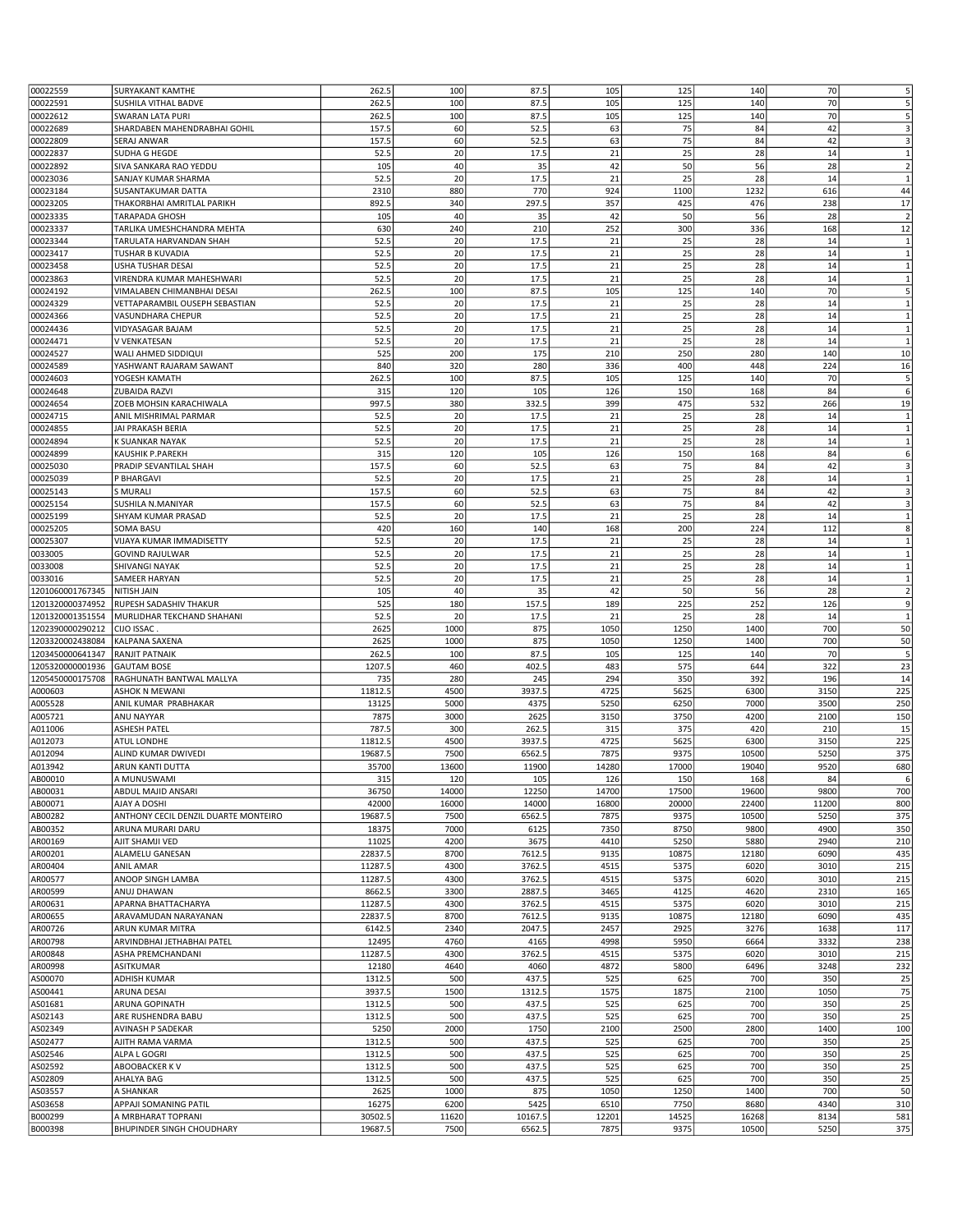|                           | <b>SURYAKANT KAMTHE</b>                         | 262.5   | 100           | 87.5    | 105           | 125           | 140            | 70    | 5                       |
|---------------------------|-------------------------------------------------|---------|---------------|---------|---------------|---------------|----------------|-------|-------------------------|
| 00022559                  |                                                 |         |               |         |               |               |                |       |                         |
| 00022591                  | SUSHILA VITHAL BADVE                            | 262.5   | 100           | 87.5    | 105           | 125           | 140            | 70    | 5                       |
| 00022612                  | SWARAN LATA PURI                                | 262.5   | 100           | 87.5    | 105           | 125           | 140            | 70    | 5                       |
| 00022689                  | SHARDABEN MAHENDRABHAI GOHIL                    | 157.5   | 60            | 52.5    | 63            | 75            | 84             | 42    | 3                       |
| 00022809                  | <b>SERAJ ANWAR</b>                              | 157.5   | 60            | 52.5    | 63            | 75            | 84             | 42    | 3                       |
|                           |                                                 |         |               |         |               |               |                |       |                         |
| 00022837                  | SUDHA G HEGDE                                   | 52.5    | 20            | 17.5    | 21            | 25            | 28             | 14    | 1                       |
| 00022892                  | SIVA SANKARA RAO YEDDU                          | 105     | 40            | 35      | 42            | 50            | 56             | 28    | $\overline{2}$          |
| 00023036                  | SANJAY KUMAR SHARMA                             | 52.5    | 20            | 17.5    | 21            | 25            | 28             | 14    | $\mathbf{1}$            |
|                           |                                                 |         | 880           |         |               |               |                |       |                         |
| 00023184                  | SUSANTAKUMAR DATTA                              | 2310    |               | 770     | 924           | 1100          | 1232           | 616   | 44                      |
| 00023205                  | THAKORBHAI AMRITLAL PARIKH                      | 892.5   | 340           | 297.5   | 357           | 425           | 476            | 238   | 17                      |
| 00023335                  | TARAPADA GHOSH                                  | 105     | 40            | 35      | 42            | 50            | 56             | 28    | $\overline{2}$          |
| 00023337                  | TARLIKA UMESHCHANDRA MEHTA                      | 630     | 240           | 210     | 252           | 300           | 336            | 168   | 12                      |
|                           |                                                 |         |               |         |               |               |                |       |                         |
| 00023344                  | TARULATA HARVANDAN SHAH                         | 52.5    | 20            | 17.5    | 21            | 25            | 28             | 14    | $\mathbf{1}$            |
| 00023417                  | TUSHAR B KUVADIA                                | 52.5    | 20            | 17.5    | 21            | 25            | 28             | 14    | $\mathbf 1$             |
| 00023458                  | USHA TUSHAR DESAI                               | 52.5    | 20            | 17.5    | 21            | 25            | 28             | 14    | $\mathbf{1}$            |
| 00023863                  | VIRENDRA KUMAR MAHESHWARI                       | 52.5    | 20            | 17.5    | 21            | 25            | 28             | 14    | $\mathbf{1}$            |
|                           |                                                 | 262.5   | 100           | 87.5    | 105           | 125           | 140            | 70    | 5                       |
| 00024192                  | VIMALABEN CHIMANBHAI DESAI                      |         |               |         |               |               |                |       |                         |
| 00024329                  | VETTAPARAMBIL OUSEPH SEBASTIAN                  | 52.5    | 20            | 17.5    | 21            | 25            | 28             | 14    | $\mathbf{1}$            |
| 00024366                  | VASUNDHARA CHEPUR                               | 52.5    | 20            | 17.5    | 21            | 25            | 28             | 14    | $\mathbf{1}$            |
| 00024436                  | VIDYASAGAR BAJAM                                | 52.5    | 20            | 17.5    | 21            | 25            | 28             | 14    | $\mathbf{1}$            |
| 00024471                  | V VENKATESAN                                    | 52.5    | 20            | 17.5    | 21            | 25            | 28             | 14    | $\mathbf{1}$            |
|                           |                                                 |         |               |         |               |               |                |       |                         |
| 00024527                  | WALI AHMED SIDDIQUI                             | 525     | 200           | 175     | 210           | 250           | 280            | 140   | 10                      |
| 00024589                  | YASHWANT RAJARAM SAWANT                         | 840     | 320           | 280     | 336           | 400           | 448            | 224   | 16                      |
| 00024603                  | YOGESH KAMATH                                   | 262.5   | 100           | 87.5    | 105           | 125           | 140            | 70    | 5                       |
| 00024648                  | ZUBAIDA RAZVI                                   | 315     | 120           | 105     | 126           | 150           | 168            | 84    | 6                       |
|                           |                                                 |         |               |         |               |               |                |       |                         |
| 00024654                  | ZOEB MOHSIN KARACHIWALA                         | 997.5   | 380           | 332.5   | 399           | 475           | 532            | 266   | 19                      |
| 00024715                  | ANIL MISHRIMAL PARMAR                           | 52.5    | 20            | 17.5    | 21            | 25            | 28             | 14    | $\mathbf{1}$            |
| 00024855                  | JAI PRAKASH BERIA                               | 52.5    | 20            | 17.5    | 21            | 25            | 28             | 14    | $\mathbf{1}$            |
| 00024894                  | K SUANKAR NAYAK                                 | 52.5    | 20            | 17.5    | 21            | 25            | 28             | 14    | $\mathbf{1}$            |
|                           |                                                 |         |               |         |               |               |                |       |                         |
| 00024899                  | KAUSHIK P.PAREKH                                | 315     | 120           | 105     | 126           | 150           | 168            | 84    | 6                       |
| 00025030                  | PRADIP SEVANTILAL SHAH                          | 157.5   | 60            | 52.5    | 63            | 75            | 84             | 42    | 3                       |
| 00025039                  | P BHARGAVI                                      | 52.5    | 20            | 17.5    | 21            | 25            | 28             | 14    | $\mathbf{1}$            |
|                           | S MURALI                                        |         |               |         |               |               |                |       |                         |
| 00025143                  |                                                 | 157.5   | 60            | 52.5    | 63            | 75            | 84             | 42    | $\overline{\mathbf{3}}$ |
| 00025154                  | SUSHILA N.MANIYAR                               | 157.5   | 60            | 52.5    | 63            | 75            | 84             | 42    | 3                       |
| 00025199                  | SHYAM KUMAR PRASAD                              | 52.5    | 20            | 17.5    | 21            | 25            | 28             | 14    | $\mathbf{1}$            |
| 00025205                  | <b>SOMA BASU</b>                                | 420     | 160           | 140     | 168           | 200           | 224            | 112   | 8                       |
|                           |                                                 | 52.5    | 20            | 17.5    | 21            | 25            | 28             |       |                         |
| 00025307                  | VIJAYA KUMAR IMMADISETTY                        |         |               |         |               |               |                | 14    | $\mathbf{1}$            |
| 0033005                   | <b>GOVIND RAJULWAR</b>                          | 52.5    | 20            | 17.5    | 21            | 25            | 28             | 14    | $\mathbf{1}$            |
| 0033008                   | SHIVANGI NAYAK                                  | 52.5    | 20            | 17.5    | 21            | 25            | 28             | 14    | $\mathbf 1$             |
| 0033016                   | SAMEER HARYAN                                   | 52.5    | 20            | 17.5    | 21            | 25            | 28             | 14    | $\mathbf{1}$            |
|                           |                                                 |         |               |         |               |               |                |       |                         |
| 1201060001767345          | NITISH JAIN                                     | 105     | 40            | 35      | 42            | 50            | 56             | 28    | $\overline{2}$          |
| 1201320000374952          | RUPESH SADASHIV THAKUR                          | 525     | 180           | 157.5   | 189           | 225           | 252            | 126   | 9                       |
| 1201320001351554          | MURLIDHAR TEKCHAND SHAHANI                      | 52.5    | 20            | 17.5    | 21            | 25            | 28             | 14    | $\mathbf{1}$            |
| 1202390000290212          | CIJO ISSAC                                      | 2625    | 1000          | 875     | 1050          | 1250          | 1400           | 700   | 50                      |
|                           |                                                 |         |               |         |               |               |                |       |                         |
| 1203320002438084          | KALPANA SAXENA                                  | 2625    | 1000          | 875     | 1050          | 1250          | 1400           | 700   | 50                      |
|                           |                                                 |         |               |         |               | 125           | 140            | 70    | 5                       |
| 1203450000641347          | RANJIT PATNAIK                                  | 262.5   | 100           | 87.5    | 105           |               |                |       |                         |
| 1205320000001936          | <b>GAUTAM BOSE</b>                              | 1207.5  | 460           | 402.5   | 483           | 575           | 644            | 322   | 23                      |
|                           |                                                 |         |               |         |               |               |                |       |                         |
| 1205450000175708          | RAGHUNATH BANTWAL MALLYA                        | 735     | 280           | 245     | 294           | 350           | 392            | 196   | 14                      |
| A000603                   | <b>ASHOK N MEWANI</b>                           | 11812.5 | 4500          | 3937.5  | 4725          | 5625          | 6300           | 3150  | 225                     |
| A005528                   | ANIL KUMAR PRABHAKAR                            | 13125   | 5000          | 4375    | 5250          | 6250          | 7000           | 3500  | 250                     |
| A005721                   | ANU NAYYAR                                      | 7875    | 3000          | 2625    | 3150          | 3750          | 4200           | 2100  | 150                     |
|                           |                                                 |         |               |         |               |               |                |       |                         |
| A011006                   | <b>ASHESH PATEL</b>                             | 787.5   | 300           | 262.5   | 315           | 375           | 420            | 210   | 15                      |
| A012073                   | <b>ATUL LONDHE</b>                              | 11812.5 | 4500          | 3937.5  | 4725          | 5625          | 6300           | 3150  | 225                     |
| A012094                   | ALIND KUMAR DWIVEDI                             | 19687.5 | 7500          | 6562.5  | 7875          | 9375          | 10500          | 5250  | 375                     |
| A013942                   | ARUN KANTI DUTTA                                | 35700   | 13600         | 11900   | 14280         | 17000         | 19040          | 9520  | 680                     |
|                           |                                                 |         |               |         |               |               |                |       |                         |
| AB00010                   | A MUNUSWAMI                                     | 315     | 120           | 105     | 126           | 150           | 168            | 84    | 6                       |
| AB00031                   | ABDUL MAJID ANSARI                              | 36750   | 14000         | 12250   | 14700         | 17500         | 19600          | 9800  | 700                     |
| AB00071                   | AJAY A DOSHI                                    | 42000   | 16000         | 14000   | 16800         | 20000         | 22400          | 11200 | 800                     |
| AB00282                   | ANTHONY CECIL DENZIL DUARTE MONTEIRO            | 19687.5 | 7500          | 6562.5  | 7875          | 9375          | 10500          | 5250  | 375                     |
| AB00352                   | ARUNA MURARI DARU                               | 18375   | 7000          | 6125    | 7350          | 8750          | 9800           | 4900  | 350                     |
|                           |                                                 |         |               |         |               |               |                |       |                         |
| AR00169                   | AJIT SHAMJI VED                                 | 11025   | 4200          | 3675    | 4410          | 5250          | 5880           | 2940  | 210                     |
| AR00201                   | ALAMELU GANESAN                                 | 22837.5 | 8700          | 7612.5  | 9135          | 10875         | 12180          | 6090  | 435                     |
| AR00404                   | <b>ANIL AMAR</b>                                | 11287.5 | 4300          | 3762.5  | 4515          | 5375          | 6020           | 3010  | 215                     |
| AR00577                   | ANOOP SINGH LAMBA                               | 11287.5 | 4300          | 3762.5  | 4515          | 5375          | 6020           | 3010  | 215                     |
| AR00599                   | ANUJ DHAWAN                                     | 8662.5  | 3300          | 2887.5  | 3465          | 4125          | 4620           | 2310  | 165                     |
|                           |                                                 |         |               |         |               |               |                |       |                         |
| AR00631                   | APARNA BHATTACHARYA                             | 11287.5 | 4300          | 3762.5  | 4515          | 5375          | 6020           | 3010  | 215                     |
| AR00655                   | ARAVAMUDAN NARAYANAN                            | 22837.5 | 8700          | 7612.5  | 9135          | 10875         | 12180          | 6090  | 435                     |
| AR00726                   | ARUN KUMAR MITRA                                | 6142.5  | 2340          | 2047.5  | 2457          | 2925          | 3276           | 1638  | 117                     |
| AR00798                   | ARVINDBHAI JETHABHAI PATEL                      | 12495   | 4760          | 4165    | 4998          | 5950          | 6664           | 3332  | 238                     |
|                           | ASHA PREMCHANDANI                               |         | 4300          | 3762.5  | 4515          | 5375          | 6020           | 3010  | 215                     |
| AR00848                   |                                                 | 11287.5 |               |         |               |               |                |       |                         |
| AR00998                   | <b>ASITKUMAR</b>                                | 12180   | 4640          | 4060    | 4872          | 5800          | 6496           | 3248  | 232                     |
| AS00070                   | ADHISH KUMAR                                    | 1312.5  | 500           | 437.5   | 525           | 625           | 700            | 350   | 25                      |
| AS00441                   | ARUNA DESAI                                     | 3937.5  | 1500          | 1312.5  | 1575          | 1875          | 2100           | 1050  | 75                      |
| AS01681                   | ARUNA GOPINATH                                  | 1312.5  | 500           | 437.5   | 525           | 625           | 700            | 350   | 25                      |
|                           |                                                 |         |               |         |               |               |                |       |                         |
| AS02143                   | ARE RUSHENDRA BABU                              | 1312.5  | 500           | 437.5   | 525           | 625           | 700            | 350   | 25                      |
| AS02349                   | AVINASH P SADEKAR                               | 5250    | 2000          | 1750    | 2100          | 2500          | 2800           | 1400  | 100                     |
| AS02477                   | AJITH RAMA VARMA                                | 1312.5  | 500           | 437.5   | 525           | 625           | 700            | 350   | 25                      |
| AS02546                   | ALPA L GOGRI                                    | 1312.5  | 500           | 437.5   | 525           | 625           | 700            | 350   | 25                      |
|                           |                                                 |         |               |         |               |               |                |       |                         |
| AS02592                   | ABOOBACKER K V                                  | 1312.5  | 500           | 437.5   | 525           | 625           | 700            | 350   | 25                      |
| AS02809                   | AHALYA BAG                                      | 1312.5  | 500           | 437.5   | 525           | 625           | 700            | 350   | 25                      |
| AS03557                   | A SHANKAR                                       | 2625    | 1000          | 875     | 1050          | 1250          | 1400           | 700   | 50                      |
| AS03658                   | APPAJI SOMANING PATIL                           | 16275   | 6200          | 5425    | 6510          | 7750          | 8680           | 4340  | 310                     |
|                           |                                                 | 30502.5 |               | 10167.5 |               |               |                | 8134  |                         |
| B000299<br><b>B000398</b> | A MRBHARAT TOPRANI<br>BHUPINDER SINGH CHOUDHARY | 19687.5 | 11620<br>7500 | 6562.5  | 12201<br>7875 | 14525<br>9375 | 16268<br>10500 | 5250  | 581<br>375              |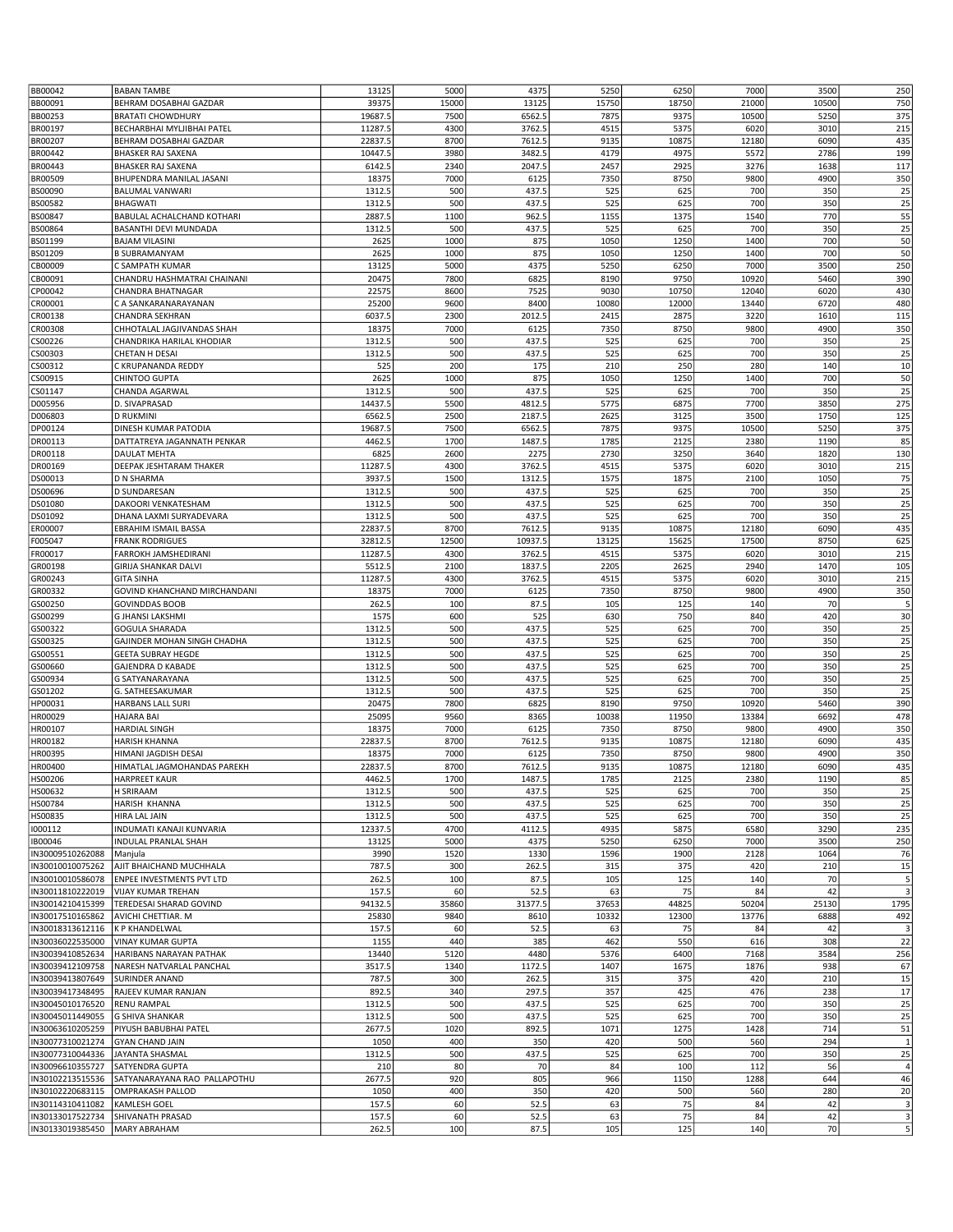| BB00042          | <b>BABAN TAMBE</b>           | 13125   | 5000  | 4375    | 5250  | 6250  | 7000  | 3500  | 250                     |
|------------------|------------------------------|---------|-------|---------|-------|-------|-------|-------|-------------------------|
| BB00091          | BEHRAM DOSABHAI GAZDAR       | 39375   | 15000 | 13125   | 15750 | 18750 | 21000 | 10500 | 750                     |
| BB00253          | <b>BRATATI CHOWDHURY</b>     | 19687.5 | 7500  | 6562.5  | 7875  | 9375  | 10500 | 5250  | 375                     |
|                  |                              |         |       |         |       |       |       |       |                         |
| BR00197          | BECHARBHAI MYLJIBHAI PATEL   | 11287.5 | 4300  | 3762.5  | 4515  | 5375  | 6020  | 3010  | 215                     |
| BR00207          | BEHRAM DOSABHAI GAZDAR       | 22837.5 | 8700  | 7612.5  | 9135  | 10875 | 12180 | 6090  | 435                     |
| BR00442          | <b>BHASKER RAJ SAXENA</b>    | 10447.5 | 3980  | 3482.5  | 4179  | 4975  | 5572  | 2786  | 199                     |
| BR00443          | <b>BHASKER RAJ SAXENA</b>    | 6142.5  | 2340  | 2047.5  | 2457  | 2925  | 3276  | 1638  | 117                     |
| BR00509          | BHUPENDRA MANILAL JASANI     | 18375   | 7000  | 6125    | 7350  | 8750  | 9800  | 4900  | 350                     |
| BS00090          | <b>BALUMAL VANWARI</b>       | 1312.5  | 500   | 437.5   | 525   | 625   | 700   | 350   | 25                      |
| BS00582          | <b>BHAGWATI</b>              | 1312.5  | 500   | 437.5   | 525   | 625   | 700   | 350   | 25                      |
| BS00847          | BABULAL ACHALCHAND KOTHARI   | 2887.5  | 1100  | 962.5   | 1155  | 1375  | 1540  | 770   | 55                      |
| BS00864          | BASANTHI DEVI MUNDADA        | 1312.5  | 500   | 437.5   | 525   | 625   | 700   | 350   | 25                      |
| BS01199          | <b>BAJAM VILASINI</b>        | 2625    | 1000  | 875     | 1050  | 1250  | 1400  | 700   | 50                      |
|                  |                              |         |       |         |       |       |       |       |                         |
| BS01209          | <b>B SUBRAMANYAM</b>         | 2625    | 1000  | 875     | 1050  | 1250  | 1400  | 700   | 50                      |
| CB00009          | C SAMPATH KUMAR              | 13125   | 5000  | 4375    | 5250  | 6250  | 7000  | 3500  | 250                     |
| CB00091          | CHANDRU HASHMATRAI CHAINANI  | 20475   | 7800  | 6825    | 8190  | 9750  | 10920 | 5460  | 390                     |
| CP00042          | CHANDRA BHATNAGAR            | 22575   | 8600  | 7525    | 9030  | 10750 | 12040 | 6020  | 430                     |
| CR00001          | C A SANKARANARAYANAN         | 25200   | 9600  | 8400    | 10080 | 12000 | 13440 | 6720  | 480                     |
| CR00138          | CHANDRA SEKHRAN              | 6037.5  | 2300  | 2012.5  | 2415  | 2875  | 3220  | 1610  | 115                     |
| CR00308          | CHHOTALAL JAGJIVANDAS SHAH   | 18375   | 7000  | 6125    | 7350  | 8750  | 9800  | 4900  | 350                     |
| CS00226          | CHANDRIKA HARILAL KHODIAR    | 1312.5  | 500   | 437.5   | 525   | 625   | 700   | 350   | 25                      |
| CS00303          | CHETAN H DESAI               | 1312.5  | 500   | 437.5   | 525   | 625   | 700   | 350   | 25                      |
| CS00312          | C KRUPANANDA REDDY           | 525     | 200   | 175     | 210   | 250   | 280   | 140   | 10                      |
| CS00915          | CHINTOO GUPTA                | 2625    | 1000  | 875     | 1050  | 1250  | 1400  | 700   | 50                      |
|                  | CHANDA AGARWAL               | 1312.5  | 500   | 437.5   | 525   | 625   | 700   | 350   | 25                      |
| CS01147          |                              |         |       |         |       |       |       |       |                         |
| D005956          | D. SIVAPRASAD                | 14437.5 | 5500  | 4812.5  | 5775  | 6875  | 7700  | 3850  | 275                     |
| D006803          | <b>D RUKMINI</b>             | 6562.5  | 2500  | 2187.5  | 2625  | 3125  | 3500  | 1750  | 125                     |
| DP00124          | DINESH KUMAR PATODIA         | 19687.5 | 7500  | 6562.5  | 7875  | 9375  | 10500 | 5250  | 375                     |
| DR00113          | DATTATREYA JAGANNATH PENKAR  | 4462.5  | 1700  | 1487.5  | 1785  | 2125  | 2380  | 1190  | 85                      |
| DR00118          | DAULAT MEHTA                 | 6825    | 2600  | 2275    | 2730  | 3250  | 3640  | 1820  | 130                     |
| DR00169          | DEEPAK JESHTARAM THAKER      | 11287.5 | 4300  | 3762.5  | 4515  | 5375  | 6020  | 3010  | 215                     |
| DS00013          | <b>D N SHARMA</b>            | 3937.5  | 1500  | 1312.5  | 1575  | 1875  | 2100  | 1050  | 75                      |
| DS00696          | D SUNDARESAN                 | 1312.5  | 500   | 437.5   | 525   | 625   | 700   | 350   | 25                      |
| DS01080          | DAKOORI VENKATESHAM          | 1312.5  | 500   | 437.5   | 525   | 625   | 700   | 350   | 25                      |
|                  |                              |         |       |         |       |       |       |       |                         |
| DS01092          | DHANA LAXMI SURYADEVARA      | 1312.5  | 500   | 437.5   | 525   | 625   | 700   | 350   | 25                      |
| ER00007          | <b>EBRAHIM ISMAIL BASSA</b>  | 22837.5 | 8700  | 7612.5  | 9135  | 10875 | 12180 | 6090  | 435                     |
| F005047          | <b>FRANK RODRIGUES</b>       | 32812.5 | 12500 | 10937.5 | 13125 | 15625 | 17500 | 8750  | 625                     |
| FR00017          | FARROKH JAMSHEDIRANI         | 11287.5 | 4300  | 3762.5  | 4515  | 5375  | 6020  | 3010  | 215                     |
| GR00198          | GIRIJA SHANKAR DALVI         | 5512.5  | 2100  | 1837.5  | 2205  | 2625  | 2940  | 1470  | 105                     |
| GR00243          | <b>GITA SINHA</b>            | 11287.5 | 4300  | 3762.5  | 4515  | 5375  | 6020  | 3010  | 215                     |
| GR00332          | GOVIND KHANCHAND MIRCHANDANI | 18375   | 7000  | 6125    | 7350  | 8750  | 9800  | 4900  | 350                     |
| GS00250          | <b>GOVINDDAS BOOB</b>        | 262.5   | 100   | 87.5    | 105   | 125   | 140   | 70    | 5                       |
| GS00299          | <b>G JHANSI LAKSHMI</b>      | 1575    | 600   | 525     | 630   | 750   | 840   | 420   | 30                      |
| GS00322          | <b>GOGULA SHARADA</b>        | 1312.5  | 500   | 437.5   | 525   | 625   | 700   | 350   | 25                      |
|                  |                              | 1312.5  | 500   | 437.5   | 525   |       | 700   |       | 25                      |
| GS00325          | GAJINDER MOHAN SINGH CHADHA  |         |       |         |       | 625   |       | 350   |                         |
| GS00551          | <b>GEETA SUBRAY HEGDE</b>    | 1312.5  | 500   | 437.5   | 525   | 625   | 700   | 350   | 25                      |
| GS00660          | <b>GAJENDRA D KABADE</b>     | 1312.5  | 500   | 437.5   | 525   | 625   | 700   | 350   | 25                      |
| GS00934          | G SATYANARAYANA              | 1312.5  | 500   | 437.5   | 525   | 625   | 700   | 350   | 25                      |
| GS01202          | G. SATHEESAKUMAR             | 1312.5  | 500   | 437.5   | 525   | 625   | 700   | 350   | 25                      |
| HP00031          | <b>HARBANS LALL SURI</b>     | 20475   | 7800  | 6825    | 8190  | 9750  | 10920 | 5460  | 390                     |
| HR00029          | <b>HAJARA BAI</b>            | 25095   | 9560  | 8365    | 10038 | 11950 | 13384 | 6692  | 478                     |
| HR00107          | <b>HARDIAL SINGH</b>         | 18375   | 7000  | 6125    | 7350  | 8750  | 9800  | 4900  | 350                     |
| HR00182          | <b>HARISH KHANNA</b>         | 22837.5 | 8700  | 7612.5  | 9135  | 10875 | 12180 | 6090  | 435                     |
| HR00395          | HIMANI JAGDISH DESAI         | 18375   | 7000  | 6125    | 7350  | 8750  | 9800  | 4900  | 350                     |
| HR00400          | HIMATLAL JAGMOHANDAS PAREKH  | 22837.5 | 8700  | 7612.5  | 9135  | 10875 | 12180 | 6090  | 435                     |
|                  |                              |         |       |         |       |       |       |       |                         |
| HS00206          | <b>HARPREET KAUR</b>         | 4462.5  | 1700  | 1487.5  | 1785  | 2125  | 2380  | 1190  | 85                      |
| HS00632          | H SRIRAAM                    | 1312.5  | 500   | 437.5   | 525   | 625   | 700   | 350   | 25                      |
| HS00784          | HARISH KHANNA                | 1312.5  | 500   | 437.5   | 525   | 625   | 700   | 350   | 25                      |
| HS00835          | HIRA LAL JAIN                | 1312.5  | 500   | 437.5   | 525   | 625   | 700   | 350   | 25                      |
| 1000112          | INDUMATI KANAJI KUNVARIA     | 12337.5 | 4700  | 4112.5  | 4935  | 5875  | 6580  | 3290  | 235                     |
| IB00046          | <b>INDULAL PRANLAL SHAH</b>  | 13125   | 5000  | 4375    | 5250  | 6250  | 7000  | 3500  | 250                     |
| IN30009510262088 | Manjula                      | 3990    | 1520  | 1330    | 1596  | 1900  | 2128  | 1064  | 76                      |
| IN30010010075262 | AJIT BHAICHAND MUCHHALA      | 787.5   | 300   | 262.5   | 315   | 375   | 420   | 210   | 15                      |
| IN30010010586078 | ENPEE INVESTMENTS PVT LTD    | 262.5   | 100   | 87.5    | 105   | 125   | 140   | 70    | 5                       |
| IN30011810222019 | <b>VIJAY KUMAR TREHAN</b>    | 157.5   | 60    | 52.5    | 63    | 75    | 84    | 42    | 3                       |
|                  |                              |         |       |         |       |       |       |       |                         |
| IN30014210415399 | TEREDESAI SHARAD GOVIND      | 94132.5 | 35860 | 31377.5 | 37653 | 44825 | 50204 | 25130 | 1795                    |
| IN30017510165862 | AVICHI CHETTIAR. M           | 25830   | 9840  | 8610    | 10332 | 12300 | 13776 | 6888  | 492                     |
| IN30018313612116 | <b>K P KHANDELWAL</b>        | 157.5   | 60    | 52.5    | 63    | 75    | 84    | 42    | 3                       |
| IN30036022535000 | <b>VINAY KUMAR GUPTA</b>     | 1155    | 440   | 385     | 462   | 550   | 616   | 308   | 22                      |
| IN30039410852634 | HARIBANS NARAYAN PATHAK      | 13440   | 5120  | 4480    | 5376  | 6400  | 7168  | 3584  | 256                     |
| IN30039412109758 | NARESH NATVARLAL PANCHAL     | 3517.5  | 1340  | 1172.5  | 1407  | 1675  | 1876  | 938   | 67                      |
| IN30039413807649 | <b>SURINDER ANAND</b>        | 787.5   | 300   | 262.5   | 315   | 375   | 420   | 210   | 15                      |
| IN30039417348495 | RAJEEV KUMAR RANJAN          | 892.5   | 340   | 297.5   | 357   | 425   | 476   | 238   | 17                      |
| IN30045010176520 | <b>RENU RAMPAL</b>           | 1312.5  | 500   | 437.5   | 525   | 625   | 700   | 350   | 25                      |
| IN30045011449055 |                              | 1312.5  | 500   | 437.5   | 525   | 625   | 700   | 350   | 25                      |
|                  | <b>G SHIVA SHANKAR</b>       |         |       |         |       |       |       |       |                         |
| IN30063610205259 | PIYUSH BABUBHAI PATEL        | 2677.5  | 1020  | 892.5   | 1071  | 1275  | 1428  | 714   | 51                      |
| IN30077310021274 | <b>GYAN CHAND JAIN</b>       | 1050    | 400   | 350     | 420   | 500   | 560   | 294   | $\overline{1}$          |
| IN30077310044336 | JAYANTA SHASMAL              | 1312.5  | 500   | 437.5   | 525   | 625   | 700   | 350   | 25                      |
| IN30096610355727 | SATYENDRA GUPTA              | 210     | 80    | 70      | 84    | 100   | 112   | 56    | $\overline{4}$          |
| IN30102213515536 | SATYANARAYANA RAO PALLAPOTHU | 2677.5  | 920   | 805     | 966   | 1150  | 1288  | 644   | 46                      |
| IN30102220683115 | <b>OMPRAKASH PALLOD</b>      | 1050    | 400   | 350     | 420   | 500   | 560   | 280   | $20\,$                  |
| IN30114310411082 | <b>KAMLESH GOEL</b>          | 157.5   | 60    | 52.5    | 63    | 75    | 84    | 42    | $\overline{\mathbf{3}}$ |
| IN30133017522734 | SHIVANATH PRASAD             | 157.5   | 60    | 52.5    | 63    | 75    | 84    | 42    | $\overline{3}$          |
| IN30133019385450 | <b>MARY ABRAHAM</b>          | 262.5   | 100   | 87.5    | 105   | 125   | 140   | 70    | $5 \vert$               |
|                  |                              |         |       |         |       |       |       |       |                         |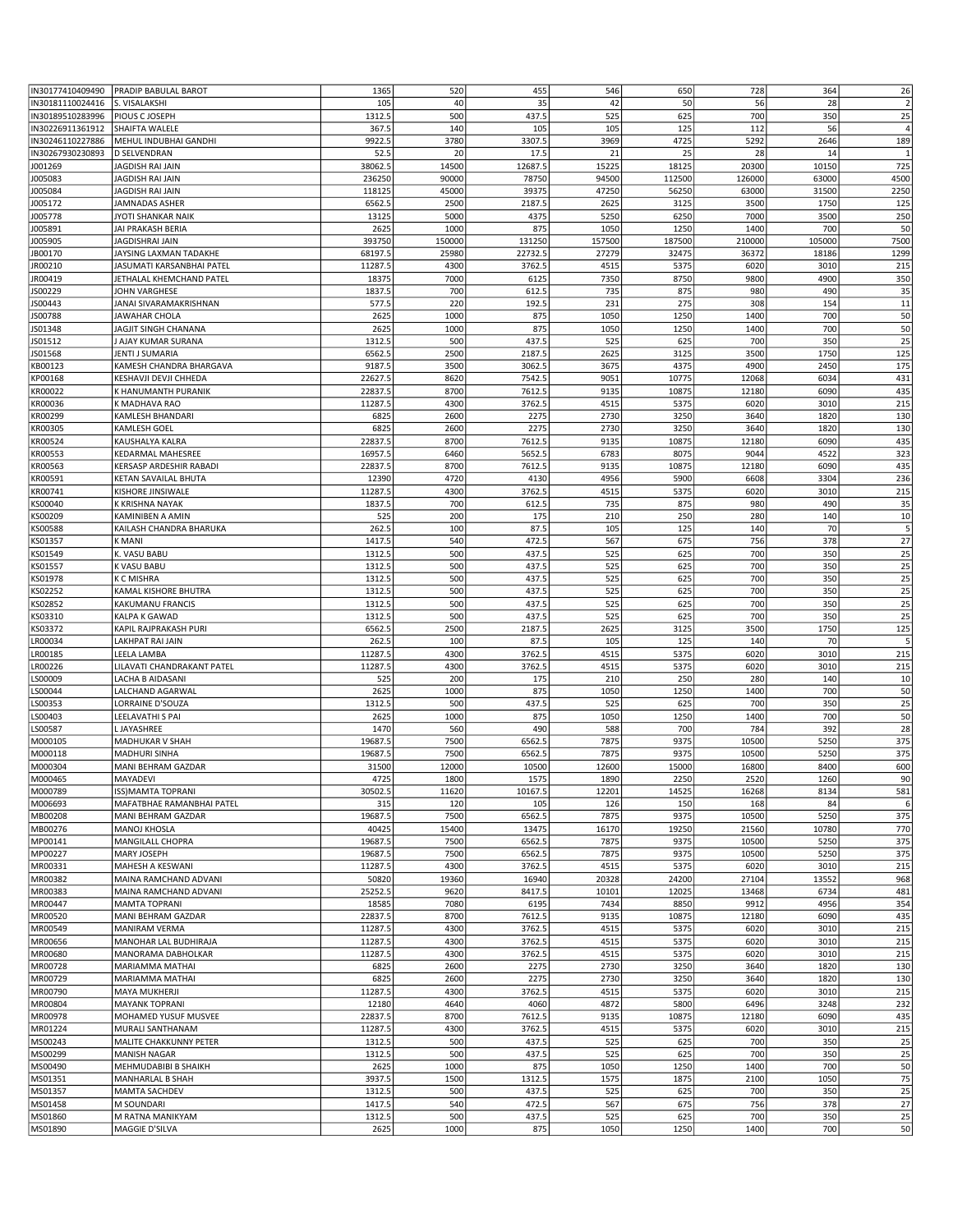|                  | IN30177410409490 PRADIP BABULAL BAROT | 1365    | 520        | 455     | 546        | 650        | 728        | 364        | 26             |
|------------------|---------------------------------------|---------|------------|---------|------------|------------|------------|------------|----------------|
| IN30181110024416 | S. VISALAKSHI                         | 105     | 40         | 35      | 42         | 50         | 56         | 28         | $\overline{2}$ |
| IN30189510283996 | PIOUS C JOSEPH                        | 1312.5  | 500        | 437.5   | 525        | 625        | 700        | 350        | 25             |
| IN30226911361912 | SHAIFTA WALELE                        | 367.5   | 140        | 105     | 105        | 125        | 112        | 56         | $\overline{4}$ |
| IN30246110227886 | MEHUL INDUBHAI GANDHI                 | 9922.5  | 3780       | 3307.5  | 3969       | 4725       | 5292       | 2646       | 189            |
| IN30267930230893 | <b>D SELVENDRAN</b>                   | 52.5    | 20         | 17.5    | 21         | 25         | 28         | 14         | $\mathbf{1}$   |
| J001269          | JAGDISH RAI JAIN                      | 38062.5 | 14500      | 12687.5 | 15225      | 18125      | 20300      | 10150      | 725            |
|                  | JAGDISH RAI JAIN                      | 236250  | 90000      | 78750   | 94500      | 112500     | 126000     | 63000      | 4500           |
| J005083          |                                       |         |            |         |            |            |            |            |                |
| J005084          | JAGDISH RAI JAIN                      | 118125  | 45000      | 39375   | 47250      | 56250      | 63000      | 31500      | 2250           |
| J005172          | JAMNADAS ASHER                        | 6562.5  | 2500       | 2187.5  | 2625       | 3125       | 3500       | 1750       | 125            |
| J005778          | JYOTI SHANKAR NAIK                    | 13125   | 5000       | 4375    | 5250       | 6250       | 7000       | 3500       | 250            |
| J005891          | JAI PRAKASH BERIA                     | 2625    | 1000       | 875     | 1050       | 1250       | 1400       | 700        | 50             |
| J005905          | JAGDISHRAI JAIN                       | 393750  | 150000     | 131250  | 157500     | 187500     | 210000     | 105000     | 7500           |
| JB00170          | JAYSING LAXMAN TADAKHE                | 68197.5 | 25980      | 22732.5 | 27279      | 32475      | 36372      | 18186      | 1299           |
| JR00210          | JASUMATI KARSANBHAI PATEL             | 11287.5 | 4300       | 3762.5  | 4515       | 5375       | 6020       | 3010       | 215            |
| JR00419          | JETHALAL KHEMCHAND PATEL              | 18375   | 7000       | 6125    | 7350       | 8750       | 9800       | 4900       | 350            |
| JS00229          | JOHN VARGHESE                         | 1837.5  | 700        | 612.5   | 735        | 875        | 980        | 490        | 35             |
| JS00443          | JANAI SIVARAMAKRISHNAN                | 577.5   | 220        | 192.5   | 231        | 275        | 308        | 154        | 11             |
| JS00788          | JAWAHAR CHOLA                         | 2625    | 1000       | 875     | 1050       | 1250       | 1400       | 700        | 50             |
| JS01348          | JAGJIT SINGH CHANANA                  | 2625    | 1000       | 875     | 1050       | 1250       | 1400       | 700        | 50             |
| JS01512          | J AJAY KUMAR SURANA                   | 1312.5  | 500        | 437.5   | 525        | 625        | 700        | 350        | 25             |
| JS01568          | JENTI J SUMARIA                       | 6562.5  | 2500       | 2187.5  | 2625       | 3125       | 3500       | 1750       | 125            |
| KB00123          | KAMESH CHANDRA BHARGAVA               | 9187.5  | 3500       | 3062.5  | 3675       | 4375       | 4900       | 2450       | 175            |
| KP00168          | KESHAVJI DEVJI CHHEDA                 | 22627.5 | 8620       | 7542.5  | 9051       | 10775      | 12068      | 6034       | 431            |
| KR00022          | K HANUMANTH PURANIK                   | 22837.5 | 8700       | 7612.5  | 9135       | 10875      | 12180      | 6090       | 435            |
| KR00036          | K MADHAVA RAO                         | 11287.5 | 4300       | 3762.5  | 4515       | 5375       | 6020       | 3010       | 215            |
| KR00299          | KAMLESH BHANDARI                      | 6825    | 2600       | 2275    | 2730       | 3250       | 3640       | 1820       | 130            |
| KR00305          | KAMLESH GOEL                          | 6825    | 2600       | 2275    | 2730       | 3250       | 3640       | 1820       | 130            |
|                  |                                       |         |            |         |            |            |            |            |                |
| KR00524          | KAUSHALYA KALRA                       | 22837.5 | 8700       | 7612.5  | 9135       | 10875      | 12180      | 6090       | 435            |
| KR00553          | KEDARMAL MAHESREE                     | 16957.5 | 6460       | 5652.5  | 6783       | 8075       | 9044       | 4522       | 323            |
| KR00563          | KERSASP ARDESHIR RABADI               | 22837.5 | 8700       | 7612.5  | 9135       | 10875      | 12180      | 6090       | 435            |
| KR00591          | KETAN SAVAILAL BHUTA                  | 12390   | 4720       | 4130    | 4956       | 5900       | 6608       | 3304       | 236            |
| KR00741          | KISHORE JINSIWALE                     | 11287.5 | 4300       | 3762.5  | 4515       | 5375       | 6020       | 3010       | 215            |
| KS00040          | K KRISHNA NAYAK                       | 1837.5  | 700        | 612.5   | 735        | 875        | 980        | 490        | 35             |
| KS00209          | KAMINIBEN A AMIN                      | 525     | 200        | 175     | 210        | 250        | 280        | 140        | 10             |
| KS00588          | KAILASH CHANDRA BHARUKA               | 262.5   | 100        | 87.5    | 105        | 125        | 140        | 70         | 5              |
| KS01357          | K MANI                                | 1417.5  | 540        | 472.5   | 567        | 675        | 756        | 378        | 27             |
| KS01549          | K. VASU BABU                          | 1312.5  | 500        | 437.5   | 525        | 625        | 700        | 350        | 25             |
| KS01557          | K VASU BABU                           | 1312.5  | 500        | 437.5   | 525        | 625        | 700        | 350        | 25             |
| KS01978          | <b>K C MISHRA</b>                     | 1312.5  | 500        | 437.5   | 525        | 625        | 700        | 350        | 25             |
| KS02252          | KAMAL KISHORE BHUTRA                  | 1312.5  | 500        | 437.5   | 525        | 625        | 700        | 350        | 25             |
| KS02852          | KAKUMANU FRANCIS                      | 1312.5  | 500        | 437.5   | 525        | 625        | 700        | 350        | 25             |
| KS03310          | KALPA K GAWAD                         | 1312.5  | 500        | 437.5   | 525        | 625        | 700        | 350        | 25             |
| KS03372          | KAPIL RAJPRAKASH PURI                 | 6562.5  | 2500       | 2187.5  | 2625       | 3125       | 3500       | 1750       | 125            |
| LR00034          | LAKHPAT RAI JAIN                      | 262.5   | 100        | 87.5    | 105        | 125        | 140        | 70         | 5              |
| LR00185          | LEELA LAMBA                           | 11287.5 | 4300       | 3762.5  | 4515       | 5375       | 6020       | 3010       | 215            |
| LR00226          | LILAVATI CHANDRAKANT PATEL            | 11287.5 | 4300       | 3762.5  | 4515       | 5375       | 6020       | 3010       | 215            |
| LS00009          | LACHA B AIDASANI                      | 525     | 200        | 175     | 210        | 250        | 280        | 140        | 10             |
| LS00044          | LALCHAND AGARWAL                      | 2625    | 1000       | 875     | 1050       | 1250       | 1400       | 700        | 50             |
|                  |                                       | 1312.5  | 500        | 437.5   | 525        | 625        | 700        | 350        | 25             |
| LS00353          | LORRAINE D'SOUZA                      |         |            |         |            |            |            |            |                |
| LS00403          | LEELAVATHI S PAI                      | 2625    | 1000       | 875     | 1050       | 1250       | 1400       | 700        | 50             |
| LS00587          | L JAYASHREE                           | 1470    | 560        | 490     | 588        | 700        | 784        | 392        | 28             |
| M000105          | MADHUKAR V SHAH                       | 19687.5 | 7500       | 6562.5  | 7875       | 9375       | 10500      | 5250       | 375            |
| M000118          | MADHURI SINHA                         | 19687.5 | 7500       | 6562.5  | 7875       | 9375       | 10500      | 5250       | 375            |
| M000304          | MANI BEHRAM GAZDAR                    | 31500   | 12000      | 10500   | 12600      | 15000      | 16800      | 8400       | 600            |
| M000465          | MAYADEVI                              | 4725    | 1800       | 1575    | 1890       | 2250       | 2520       | 1260       | 90             |
| M000789          | ISS) MAMTA TOPRANI                    | 30502.5 | 11620      | 10167.5 | 12201      | 14525      | 16268      | 8134       | 581            |
| M006693          | MAFATBHAE RAMANBHAI PATEL             | 315     | 120        | 105     | 126        | 150        | 168        | 84         | 6              |
| MB00208          | MANI BEHRAM GAZDAR                    | 19687.5 | 7500       | 6562.5  | 7875       | 9375       | 10500      | 5250       | 375            |
| MB00276          | MANOJ KHOSLA                          | 40425   | 15400      | 13475   | 16170      | 19250      | 21560      | 10780      | 770            |
| MP00141          | <b>MANGILALL CHOPRA</b>               | 19687.5 | 7500       | 6562.5  | 7875       | 9375       | 10500      | 5250       | 375            |
| MP00227          | MARY JOSEPH                           | 19687.5 | 7500       | 6562.5  | 7875       | 9375       | 10500      | 5250       | 375            |
| MR00331          | MAHESH A KESWANI                      | 11287.5 | 4300       | 3762.5  | 4515       | 5375       | 6020       | 3010       | 215            |
| MR00382          | MAINA RAMCHAND ADVANI                 | 50820   | 19360      | 16940   | 20328      | 24200      | 27104      | 13552      | 968            |
| MR00383          | MAINA RAMCHAND ADVANI                 | 25252.5 | 9620       | 8417.5  | 10101      | 12025      | 13468      | 6734       | 481            |
| MR00447          | MAMTA TOPRANI                         | 18585   | 7080       | 6195    | 7434       | 8850       | 9912       | 4956       | 354            |
| MR00520          | MANI BEHRAM GAZDAR                    | 22837.5 | 8700       | 7612.5  | 9135       | 10875      | 12180      | 6090       | 435            |
| MR00549          | MANIRAM VERMA                         | 11287.5 | 4300       | 3762.5  | 4515       | 5375       | 6020       | 3010       | 215            |
| MR00656          | MANOHAR LAL BUDHIRAJA                 | 11287.5 | 4300       | 3762.5  | 4515       | 5375       | 6020       | 3010       | 215            |
| MR00680          | MANORAMA DABHOLKAR                    | 11287.5 | 4300       | 3762.5  | 4515       | 5375       | 6020       | 3010       | 215            |
| MR00728          | MARIAMMA MATHAI                       | 6825    | 2600       | 2275    | 2730       | 3250       | 3640       | 1820       | 130            |
| MR00729          | MARIAMMA MATHAI                       | 6825    | 2600       | 2275    | 2730       | 3250       | 3640       | 1820       | 130            |
| MR00790          | <b>MAYA MUKHERJI</b>                  | 11287.5 | 4300       | 3762.5  | 4515       | 5375       | 6020       | 3010       | 215            |
| MR00804          | <b>MAYANK TOPRANI</b>                 | 12180   | 4640       | 4060    | 4872       | 5800       | 6496       | 3248       | 232            |
| MR00978          | MOHAMED YUSUF MUSVEE                  | 22837.5 | 8700       | 7612.5  | 9135       | 10875      | 12180      | 6090       | 435            |
| MR01224          | MURALI SANTHANAM                      | 11287.5 | 4300       |         |            |            |            |            | 215            |
|                  |                                       |         |            | 3762.5  | 4515       | 5375       | 6020       | 3010       |                |
| MS00243          | MALITE CHAKKUNNY PETER                | 1312.5  | 500<br>500 | 437.5   | 525<br>525 | 625<br>625 | 700<br>700 | 350<br>350 | 25<br>25       |
| MS00299          | <b>MANISH NAGAR</b>                   | 1312.5  |            | 437.5   |            |            |            |            |                |
| MS00490          | MEHMUDABIBI B SHAIKH                  | 2625    | 1000       | 875     | 1050       | 1250       | 1400       | 700        | 50             |
| MS01351          | MANHARLAL B SHAH                      | 3937.5  | 1500       | 1312.5  | 1575       | 1875       | 2100       | 1050       | 75             |
| MS01357          | <b>MAMTA SACHDEV</b>                  | 1312.5  | 500        | 437.5   | 525        | 625        | 700        | 350        | 25             |
| MS01458          | M SOUNDARI                            | 1417.5  | 540        | 472.5   | 567        | 675        | 756        | 378        | 27             |
| MS01860          | M RATNA MANIKYAM                      | 1312.5  | 500        | 437.5   | 525        | 625        | 700        | 350        | 25             |
| MS01890          | MAGGIE D'SILVA                        | 2625    | 1000       | 875     | 1050       | 1250       | 1400       | 700        | 50             |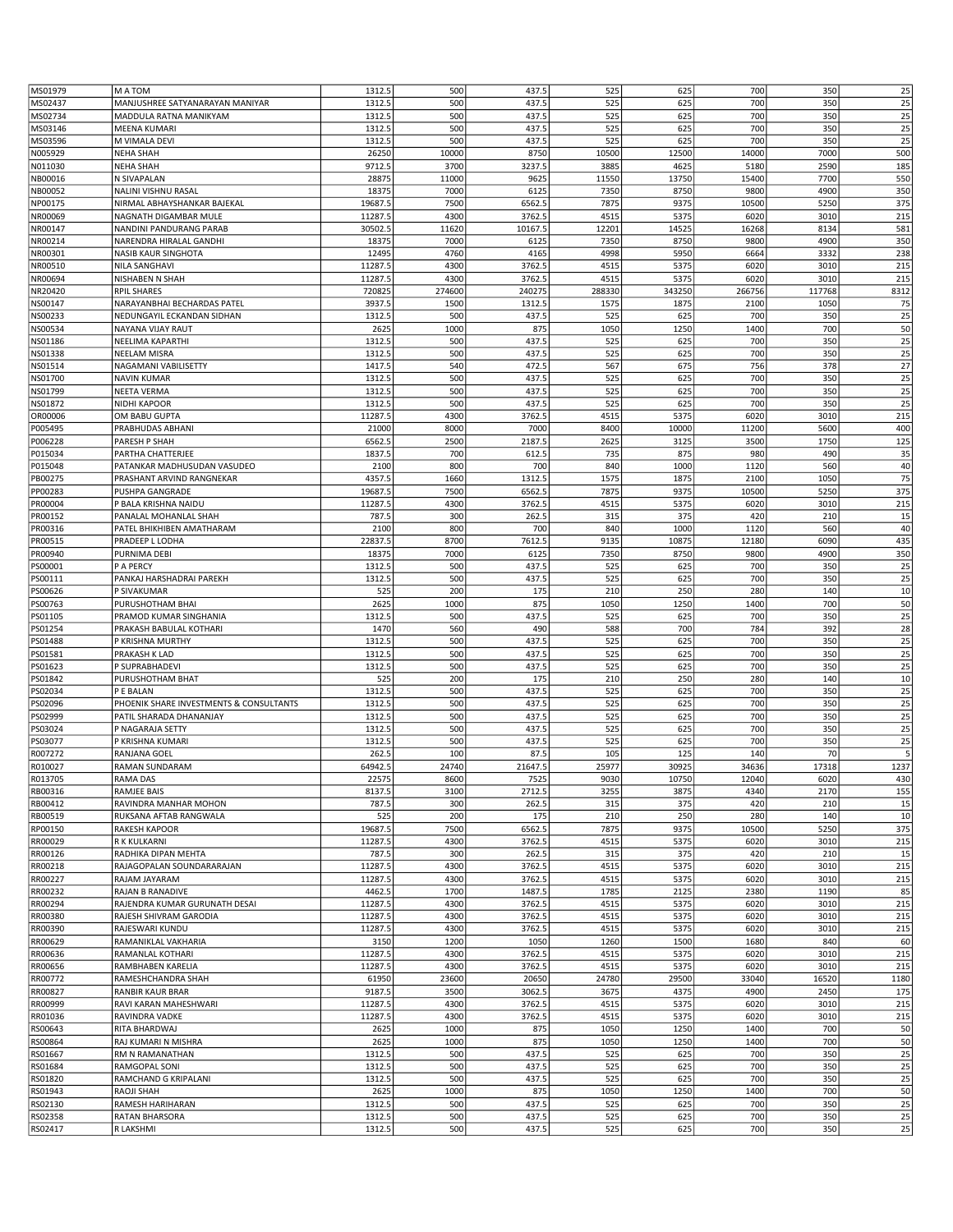| MS01979 | M A TOM                                 | 1312.5  | 500    | 437.5   | 525    | 625    | 700    | 350    | 25   |
|---------|-----------------------------------------|---------|--------|---------|--------|--------|--------|--------|------|
|         | MANJUSHREE SATYANARAYAN MANIYAR         | 1312.5  | 500    | 437.5   |        | 625    | 700    | 350    | 25   |
| MS02437 |                                         |         |        |         | 525    |        |        |        |      |
| MS02734 | MADDULA RATNA MANIKYAM                  | 1312.5  | 500    | 437.5   | 525    | 625    | 700    | 350    | 25   |
| MS03146 | MEENA KUMARI                            | 1312.5  | 500    | 437.5   | 525    | 625    | 700    | 350    | 25   |
| MS03596 | M VIMALA DEVI                           | 1312.5  | 500    | 437.5   | 525    | 625    | 700    | 350    | 25   |
| N005929 | <b>NEHA SHAH</b>                        | 26250   | 10000  | 8750    | 10500  | 12500  | 14000  | 7000   | 500  |
|         |                                         | 9712.5  | 3700   | 3237.5  | 3885   |        |        | 2590   |      |
| N011030 | <b>NEHA SHAH</b>                        |         |        |         |        | 4625   | 5180   |        | 185  |
| NB00016 | N SIVAPALAN                             | 28875   | 11000  | 9625    | 11550  | 13750  | 15400  | 7700   | 550  |
| NB00052 | NALINI VISHNU RASAL                     | 18375   | 7000   | 6125    | 7350   | 8750   | 9800   | 4900   | 350  |
| NP00175 | NIRMAL ABHAYSHANKAR BAJEKAL             | 19687.5 | 7500   | 6562.5  | 7875   | 9375   | 10500  | 5250   | 375  |
| NR00069 | NAGNATH DIGAMBAR MULE                   | 11287.5 | 4300   | 3762.5  | 4515   | 5375   | 6020   | 3010   | 215  |
|         |                                         | 30502.5 | 11620  | 10167.5 | 12201  | 14525  | 16268  | 8134   |      |
| NR00147 | NANDINI PANDURANG PARAB                 |         |        |         |        |        |        |        | 581  |
| NR00214 | NARENDRA HIRALAL GANDHI                 | 18375   | 7000   | 6125    | 7350   | 8750   | 9800   | 4900   | 350  |
| NR00301 | NASIB KAUR SINGHOTA                     | 12495   | 4760   | 4165    | 4998   | 5950   | 6664   | 3332   | 238  |
| NR00510 | <b>NILA SANGHAVI</b>                    | 11287.5 | 4300   | 3762.5  | 4515   | 5375   | 6020   | 3010   | 215  |
| NR00694 | NISHABEN N SHAH                         | 11287.5 | 4300   | 3762.5  | 4515   | 5375   | 6020   | 3010   | 215  |
|         |                                         |         |        |         |        |        |        |        |      |
| NR20420 | <b>RPIL SHARES</b>                      | 720825  | 274600 | 240275  | 288330 | 343250 | 266756 | 117768 | 8312 |
| NS00147 | NARAYANBHAI BECHARDAS PATEL             | 3937.5  | 1500   | 1312.5  | 1575   | 1875   | 2100   | 1050   | 75   |
| NS00233 | NEDUNGAYIL ECKANDAN SIDHAN              | 1312.5  | 500    | 437.5   | 525    | 625    | 700    | 350    | 25   |
| NS00534 | NAYANA VIJAY RAUT                       | 2625    | 1000   | 875     | 1050   | 1250   | 1400   | 700    | 50   |
| NS01186 | NEELIMA KAPARTHI                        | 1312.5  | 500    | 437.5   | 525    | 625    | 700    | 350    | 25   |
|         |                                         |         |        |         |        |        |        |        |      |
| NS01338 | NEELAM MISRA                            | 1312.5  | 500    | 437.5   | 525    | 625    | 700    | 350    | 25   |
| NS01514 | NAGAMANI VABILISETTY                    | 1417.5  | 540    | 472.5   | 567    | 675    | 756    | 378    | 27   |
| NS01700 | <b>NAVIN KUMAR</b>                      | 1312.5  | 500    | 437.5   | 525    | 625    | 700    | 350    | 25   |
| NS01799 | NEETA VERMA                             | 1312.5  | 500    | 437.5   | 525    | 625    | 700    | 350    | 25   |
| NS01872 | <b>NIDHI KAPOOR</b>                     | 1312.5  | 500    | 437.5   | 525    | 625    | 700    | 350    | 25   |
|         |                                         |         |        |         |        |        |        |        |      |
| OR00006 | OM BABU GUPTA                           | 11287.5 | 4300   | 3762.5  | 4515   | 5375   | 6020   | 3010   | 215  |
| P005495 | PRABHUDAS ABHANI                        | 21000   | 8000   | 7000    | 8400   | 10000  | 11200  | 5600   | 400  |
| P006228 | PARESH P SHAH                           | 6562.5  | 2500   | 2187.5  | 2625   | 3125   | 3500   | 1750   | 125  |
| P015034 | PARTHA CHATTERJEE                       | 1837.5  | 700    | 612.5   | 735    | 875    | 980    | 490    | 35   |
|         |                                         |         |        |         |        |        |        |        |      |
| P015048 | PATANKAR MADHUSUDAN VASUDEO             | 2100    | 800    | 700     | 840    | 1000   | 1120   | 560    | 40   |
| PB00275 | PRASHANT ARVIND RANGNEKAR               | 4357.5  | 1660   | 1312.5  | 1575   | 1875   | 2100   | 1050   | 75   |
| PP00283 | <b>PUSHPA GANGRADE</b>                  | 19687.5 | 7500   | 6562.5  | 7875   | 9375   | 10500  | 5250   | 375  |
| PR00004 | P BALA KRISHNA NAIDU                    | 11287.5 | 4300   | 3762.5  | 4515   | 5375   | 6020   | 3010   | 215  |
| PR00152 | PANALAL MOHANLAL SHAH                   | 787.5   | 300    | 262.5   | 315    | 375    | 420    | 210    | 15   |
|         |                                         |         |        |         |        |        |        |        |      |
| PR00316 | PATEL BHIKHIBEN AMATHARAM               | 2100    | 800    | 700     | 840    | 1000   | 1120   | 560    | 40   |
| PR00515 | PRADEEP L LODHA                         | 22837.5 | 8700   | 7612.5  | 9135   | 10875  | 12180  | 6090   | 435  |
| PR00940 | PURNIMA DEBI                            | 18375   | 7000   | 6125    | 7350   | 8750   | 9800   | 4900   | 350  |
| PS00001 | P A PERCY                               | 1312.5  | 500    | 437.5   | 525    | 625    | 700    | 350    | 25   |
| PS00111 | PANKAJ HARSHADRAI PAREKH                | 1312.5  | 500    | 437.5   | 525    | 625    | 700    | 350    | 25   |
|         |                                         |         |        |         |        |        |        |        |      |
| PS00626 | P SIVAKUMAR                             | 525     | 200    | 175     | 210    | 250    | 280    | 140    | 10   |
| PS00763 | PURUSHOTHAM BHAI                        | 2625    | 1000   | 875     | 1050   | 1250   | 1400   | 700    | 50   |
| PS01105 | PRAMOD KUMAR SINGHANIA                  | 1312.5  | 500    | 437.5   | 525    | 625    | 700    | 350    | 25   |
| PS01254 | PRAKASH BABULAL KOTHARI                 | 1470    | 560    | 490     | 588    | 700    | 784    | 392    | 28   |
|         |                                         | 1312.5  |        |         |        |        | 700    |        |      |
| PS01488 | P KRISHNA MURTHY                        |         | 500    | 437.5   | 525    | 625    |        | 350    | 25   |
| PS01581 | PRAKASH K LAD                           | 1312.5  | 500    | 437.5   | 525    | 625    | 700    | 350    | 25   |
| PS01623 | P SUPRABHADEVI                          | 1312.5  | 500    | 437.5   | 525    | 625    | 700    | 350    | 25   |
| PS01842 | PURUSHOTHAM BHAT                        | 525     | 200    | 175     | 210    | 250    | 280    | 140    | 10   |
| PS02034 | P E BALAN                               | 1312.5  | 500    | 437.5   | 525    | 625    | 700    | 350    | 25   |
|         | PHOENIK SHARE INVESTMENTS & CONSULTANTS | 1312.5  | 500    | 437.5   | 525    | 625    | 700    | 350    | 25   |
| PS02096 |                                         |         |        |         |        |        |        |        |      |
| PS02999 | PATIL SHARADA DHANANJAY                 | 1312.5  | 500    | 437.5   | 525    | 625    | 700    | 350    | 25   |
| PS03024 | P NAGARAJA SETTY                        | 1312.5  | 500    | 437.5   | 525    | 625    | 700    | 350    | 25   |
| PS03077 | P KRISHNA KUMARI                        | 1312.5  | 500    | 437.5   | 525    | 625    | 700    | 350    | 25   |
| R007272 | RANJANA GOEL                            | 262.5   | 100    | 87.5    | 105    | 125    | 140    | 70     | 5    |
|         |                                         |         |        |         |        |        |        |        |      |
| R010027 | RAMAN SUNDARAM                          | 64942.5 | 24740  | 21647.5 | 25977  | 30925  | 34636  | 17318  | 1237 |
| R013705 | RAMA DAS                                | 22575   | 8600   | 7525    | 9030   | 10750  | 12040  | 6020   | 430  |
| RB00316 | RAMJEE BAIS                             | 8137.5  | 3100   | 2712.5  | 3255   | 3875   | 4340   | 2170   | 155  |
| RB00412 | RAVINDRA MANHAR MOHON                   | 787.5   | 300    | 262.5   | 315    | 375    | 420    | 210    | 15   |
| RB00519 | RUKSANA AFTAB RANGWALA                  | 525     | 200    | 175     | 210    | 250    | 280    | 140    | 10   |
|         |                                         |         |        |         |        |        |        |        |      |
| RP00150 | RAKESH KAPOOR                           | 19687.5 | 7500   | 6562.5  | 7875   | 9375   | 10500  | 5250   | 375  |
| RR00029 | R K KULKARNI                            | 11287.5 | 4300   | 3762.5  | 4515   | 5375   | 6020   | 3010   | 215  |
| RR00126 | RADHIKA DIPAN MEHTA                     | 787.5   | 300    | 262.5   | 315    | 375    | 420    | 210    | 15   |
| RR00218 | RAJAGOPALAN SOUNDARARAJAN               | 11287.5 | 4300   | 3762.5  | 4515   | 5375   | 6020   | 3010   | 215  |
| RR00227 | RAJAM JAYARAM                           | 11287.5 | 4300   | 3762.5  | 4515   | 5375   | 6020   | 3010   | 215  |
|         |                                         |         |        |         |        |        |        |        |      |
| RR00232 | RAJAN B RANADIVE                        | 4462.5  | 1700   | 1487.5  | 1785   | 2125   | 2380   | 1190   | 85   |
| RR00294 | RAJENDRA KUMAR GURUNATH DESAI           | 11287.5 | 4300   | 3762.5  | 4515   | 5375   | 6020   | 3010   | 215  |
| RR00380 | RAJESH SHIVRAM GARODIA                  | 11287.5 | 4300   | 3762.5  | 4515   | 5375   | 6020   | 3010   | 215  |
| RR00390 | RAJESWARI KUNDU                         | 11287.5 | 4300   | 3762.5  | 4515   | 5375   | 6020   | 3010   | 215  |
| RR00629 | RAMANIKLAL VAKHARIA                     | 3150    | 1200   | 1050    | 1260   | 1500   | 1680   | 840    | 60   |
|         |                                         |         |        |         |        |        |        |        |      |
| RR00636 | RAMANLAL KOTHARI                        | 11287.5 | 4300   | 3762.5  | 4515   | 5375   | 6020   | 3010   | 215  |
| RR00656 | RAMBHABEN KARELIA                       | 11287.5 | 4300   | 3762.5  | 4515   | 5375   | 6020   | 3010   | 215  |
| RR00772 | RAMESHCHANDRA SHAH                      | 61950   | 23600  | 20650   | 24780  | 29500  | 33040  | 16520  | 1180 |
| RR00827 | RANBIR KAUR BRAR                        | 9187.5  | 3500   | 3062.5  | 3675   | 4375   | 4900   | 2450   | 175  |
| RR00999 | RAVI KARAN MAHESHWARI                   | 11287.5 | 4300   | 3762.5  | 4515   | 5375   | 6020   | 3010   | 215  |
|         |                                         |         |        |         |        |        |        |        |      |
| RR01036 | RAVINDRA VADKE                          | 11287.5 | 4300   | 3762.5  | 4515   | 5375   | 6020   | 3010   | 215  |
| RS00643 | RITA BHARDWAJ                           | 2625    | 1000   | 875     | 1050   | 1250   | 1400   | 700    | 50   |
| RS00864 | RAJ KUMARI N MISHRA                     | 2625    | 1000   | 875     | 1050   | 1250   | 1400   | 700    | 50   |
| RS01667 | RM N RAMANATHAN                         | 1312.5  | 500    | 437.5   | 525    | 625    | 700    | 350    | 25   |
|         |                                         |         |        |         |        |        | 700    |        |      |
| RS01684 | RAMGOPAL SONI                           | 1312.5  | 500    | 437.5   | 525    | 625    |        | 350    | 25   |
| RS01820 | RAMCHAND G KRIPALANI                    | 1312.5  | 500    | 437.5   | 525    | 625    | 700    | 350    | 25   |
| RS01943 | RAOJI SHAH                              | 2625    | 1000   | 875     | 1050   | 1250   | 1400   | 700    | 50   |
| RS02130 | RAMESH HARIHARAN                        | 1312.5  | 500    | 437.5   | 525    | 625    | 700    | 350    | 25   |
| RS02358 | RATAN BHARSORA                          | 1312.5  | 500    | 437.5   | 525    | 625    | 700    | 350    | 25   |
| RS02417 | R LAKSHMI                               |         |        |         |        |        |        | 350    | 25   |
|         |                                         | 1312.5  | 500    | 437.5   | 525    | 625    | 700    |        |      |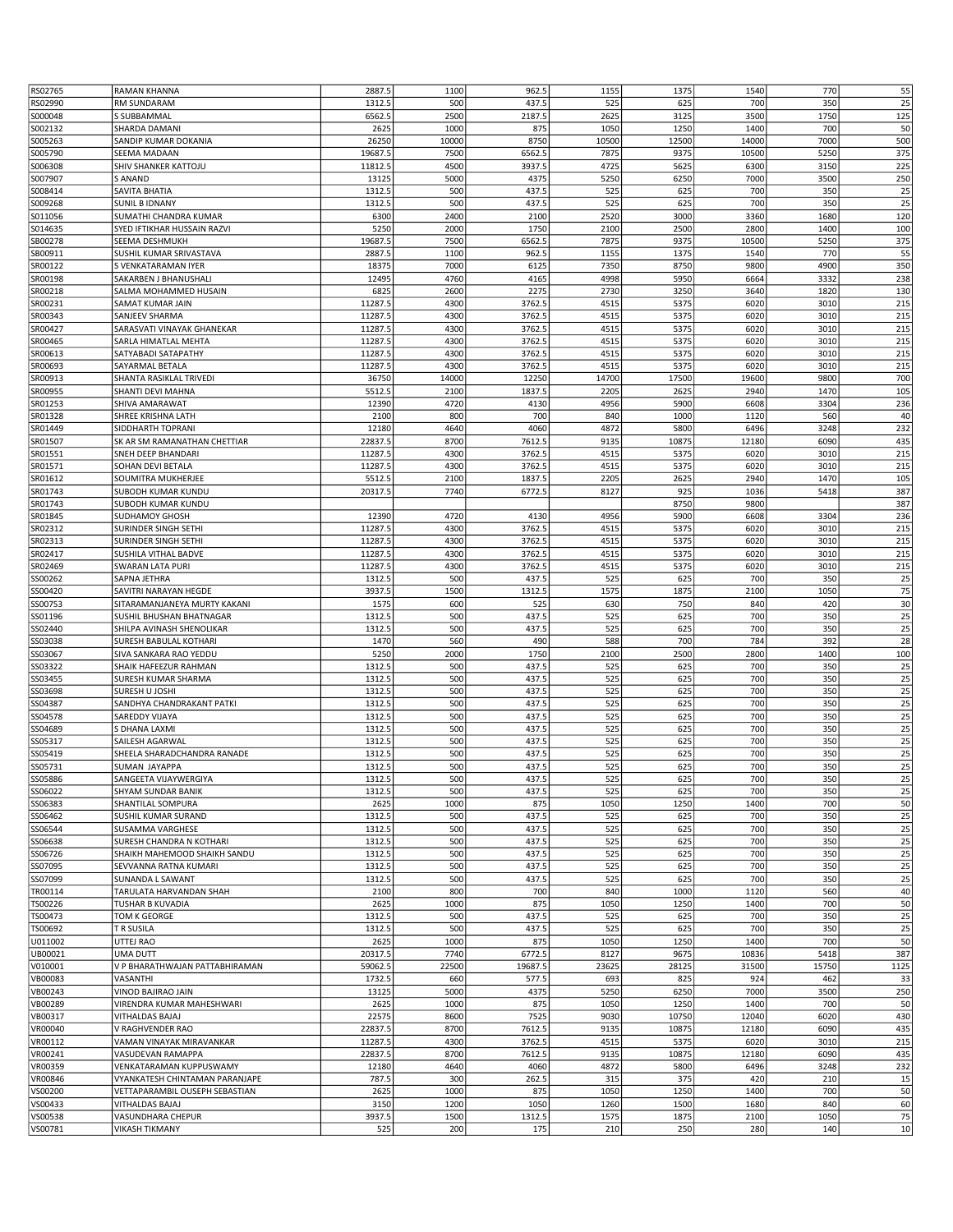| RS02765 | RAMAN KHANNA                                 | 2887.5           | 1100       | 962.5          | 1155       | 1375       | 1540       | 770        | 55       |
|---------|----------------------------------------------|------------------|------------|----------------|------------|------------|------------|------------|----------|
| RS02990 | RM SUNDARAM                                  | 1312.5           | 500        | 437.5          | 525        | 625        | 700        | 350        | 25       |
| S000048 | S SUBBAMMAL                                  | 6562.5           | 2500       | 2187.5         | 2625       | 3125       | 3500       | 1750       | 125      |
| S002132 | <b>SHARDA DAMANI</b>                         | 2625             | 1000       | 875            | 1050       | 1250       | 1400       | 700        | 50       |
| S005263 | SANDIP KUMAR DOKANIA                         | 26250            | 10000      | 8750           | 10500      | 12500      | 14000      | 7000       | 500      |
| S005790 | SEEMA MADAAN                                 | 19687.5          | 7500       | 6562.5         | 7875       | 9375       | 10500      | 5250       | 375      |
| S006308 | SHIV SHANKER KATTOJU                         | 11812.5          | 4500       | 3937.5         | 4725       | 5625       | 6300       | 3150       | 225      |
| S007907 | <b>S ANAND</b>                               | 13125            | 5000       | 4375           | 5250       | 6250       | 7000       | 3500       | 250      |
| S008414 | SAVITA BHATIA                                | 1312.5           | 500        | 437.5          | 525        | 625        | 700        | 350        | 25       |
| S009268 | <b>SUNIL B IDNANY</b>                        | 1312.5           | 500        | 437.5          | 525        | 625        | 700        | 350        | 25       |
| S011056 | SUMATHI CHANDRA KUMAR                        | 6300             | 2400       | 2100           | 2520       | 3000       | 3360       | 1680       | 120      |
| S014635 | SYED IFTIKHAR HUSSAIN RAZVI                  | 5250             | 2000       | 1750           | 2100       | 2500       | 2800       | 1400       | 100      |
| SB00278 | SEEMA DESHMUKH                               | 19687.5          | 7500       | 6562.5         | 7875       | 9375       | 10500      | 5250       | 375      |
| SB00911 | SUSHIL KUMAR SRIVASTAVA                      | 2887.5           | 1100       | 962.5          | 1155       | 1375       | 1540       | 770        | 55       |
| SR00122 | S VENKATARAMAN IYER                          | 18375            | 7000       | 6125           | 7350       | 8750       | 9800       | 4900       | 350      |
| SR00198 | SAKARBEN J BHANUSHALI                        | 12495            | 4760       | 4165           | 4998       | 5950       | 6664       | 3332       | 238      |
|         |                                              |                  |            |                |            |            |            |            |          |
| SR00218 | SALMA MOHAMMED HUSAIN                        | 6825             | 2600       | 2275           | 2730       | 3250       | 3640       | 1820       | 130      |
| SR00231 | SAMAT KUMAR JAIN                             | 11287.5          | 4300       | 3762.5         | 4515       | 5375       | 6020       | 3010       | 215      |
| SR00343 | SANJEEV SHARMA                               | 11287.5          | 4300       | 3762.5         | 4515       | 5375       | 6020       | 3010       | 215      |
| SR00427 | SARASVATI VINAYAK GHANEKAR                   | 11287.5          | 4300       | 3762.5         | 4515       | 5375       | 6020       | 3010       | 215      |
| SR00465 | SARLA HIMATLAL MEHTA                         | 11287.5          | 4300       | 3762.5         | 4515       | 5375       | 6020       | 3010       | 215      |
| SR00613 | SATYABADI SATAPATHY                          | 11287.5          | 4300       | 3762.5         | 4515       | 5375       | 6020       | 3010       | 215      |
| SR00693 | SAYARMAL BETALA                              | 11287.5          | 4300       | 3762.5         | 4515       | 5375       | 6020       | 3010       | 215      |
| SR00913 | SHANTA RASIKLAL TRIVEDI                      | 36750            | 14000      | 12250          | 14700      | 17500      | 19600      | 9800       | 700      |
| SR00955 | SHANTI DEVI MAHNA                            | 5512.5           | 2100       | 1837.5         | 2205       | 2625       | 2940       | 1470       | 105      |
| SR01253 | SHIVA AMARAWAT                               | 12390            | 4720       | 4130           | 4956       | 5900       | 6608       | 3304       | 236      |
| SR01328 | SHREE KRISHNA LATH                           | 2100             | 800        | 700            | 840        | 1000       | 1120       | 560        | 40       |
| SR01449 | SIDDHARTH TOPRANI                            | 12180            | 4640       | 4060           | 4872       | 5800       | 6496       | 3248       | 232      |
| SR01507 | SK AR SM RAMANATHAN CHETTIAR                 | 22837.5          | 8700       | 7612.5         | 9135       | 10875      | 12180      | 6090       | 435      |
| SR01551 | SNEH DEEP BHANDARI                           | 11287.5          | 4300       | 3762.5         | 4515       | 5375       | 6020       | 3010       | 215      |
| SR01571 | SOHAN DEVI BETALA                            | 11287.5          | 4300       | 3762.5         | 4515       | 5375       | 6020       | 3010       | 215      |
| SR01612 | SOUMITRA MUKHERJEE                           | 5512.5           | 2100       | 1837.5         | 2205       | 2625       | 2940       | 1470       | 105      |
| SR01743 | SUBODH KUMAR KUNDU                           | 20317.5          | 7740       | 6772.5         | 8127       | 925        | 1036       | 5418       | 387      |
| SR01743 | SUBODH KUMAR KUNDU                           |                  |            |                |            | 8750       | 9800       |            | 387      |
| SR01845 | <b>SUDHAMOY GHOSH</b>                        | 12390            | 4720       | 4130           | 4956       | 5900       | 6608       | 3304       | 236      |
| SR02312 | SURINDER SINGH SETHI                         | 11287.5          | 4300       | 3762.5         | 4515       | 5375       | 6020       | 3010       | 215      |
| SR02313 | SURINDER SINGH SETHI                         | 11287.5          | 4300       | 3762.5         | 4515       | 5375       | 6020       | 3010       | 215      |
| SR02417 | SUSHILA VITHAL BADVE                         | 11287.5          | 4300       | 3762.5         | 4515       | 5375       | 6020       | 3010       | 215      |
| SR02469 | <b>SWARAN LATA PURI</b>                      | 11287.5          | 4300       | 3762.5         | 4515       | 5375       | 6020       | 3010       | 215      |
| SS00262 | SAPNA JETHRA                                 | 1312.5           | 500        | 437.5          | 525        | 625        | 700        | 350        | 25       |
| SS00420 | SAVITRI NARAYAN HEGDE                        | 3937.5           | 1500       | 1312.5         | 1575       | 1875       | 2100       | 1050       | 75       |
| SS00753 | SITARAMANJANEYA MURTY KAKANI                 | 1575             | 600        | 525            | 630        | 750        | 840        | 420        | 30       |
| SS01196 | SUSHIL BHUSHAN BHATNAGAR                     | 1312.5           | 500        | 437.5          | 525        | 625        | 700        | 350        | 25       |
| SS02440 | SHILPA AVINASH SHENOLIKAR                    | 1312.5           | 500        | 437.5          | 525        | 625        | 700        | 350        | 25       |
| SS03038 | SURESH BABULAL KOTHARI                       | 1470             | 560        | 490            | 588        | 700        | 784        | 392        | 28       |
| SS03067 | SIVA SANKARA RAO YEDDU                       | 5250             | 2000       | 1750           | 2100       | 2500       | 2800       | 1400       | 100      |
| SS03322 | SHAIK HAFEEZUR RAHMAN                        | 1312.5           | 500        | 437.5          | 525        | 625        | 700        | 350        | 25       |
| SS03455 | SURESH KUMAR SHARMA                          | 1312.5           | 500        | 437.5          | 525        | 625        | 700        | 350        | 25       |
| SS03698 | SURESH U JOSHI                               | 1312.5           | 500        | 437.5          | 525        | 625        | 700        | 350        | 25       |
| SS04387 | SANDHYA CHANDRAKANT PATKI                    | 1312.5           | 500        | 437.5          | 525        | 625        | 700        | 350        | 25       |
| SS04578 | SAREDDY VIJAYA                               | 1312.5           | 500        | 437.5          | 525        | 625        | 700        | 350        | 25       |
| SS04689 | S DHANA LAXMI                                | 1312.5           | 500        | 437.5          | 525        | 625        | 700        | 350        | 25       |
| SS05317 | SAILESH AGARWAL                              | 1312.5           | 500        | 437.5          | 525        | 625        | 700        | 350        | 25       |
|         |                                              |                  |            |                |            |            |            |            |          |
| SS05419 | SHEELA SHARADCHANDRA RANADE<br>SUMAN JAYAPPA | 1312.5<br>1312.5 | 500<br>500 | 437.5<br>437.5 | 525<br>525 | 625<br>625 | 700<br>700 | 350<br>350 | 25<br>25 |
| SS05731 |                                              |                  |            |                |            |            |            |            |          |
| SS05886 | SANGEETA VIJAYWERGIYA                        | 1312.5           | 500<br>500 | 437.5          | 525        | 625        | 700        | 350        | 25       |
| SS06022 | <b>SHYAM SUNDAR BANIK</b>                    | 1312.5           |            | 437.5          | 525        | 625        | 700        | 350        | 25       |
| SS06383 | SHANTILAL SOMPURA                            | 2625             | 1000       | 875            | 1050       | 1250       | 1400       | 700        | 50       |
| SS06462 | SUSHIL KUMAR SURAND                          | 1312.5           | 500        | 437.5          | 525        | 625        | 700        | 350        | 25       |
| SS06544 | SUSAMMA VARGHESE                             | 1312.5           | 500        | 437.5          | 525        | 625        | 700        | 350        | 25       |
| SS06638 | SURESH CHANDRA N KOTHARI                     | 1312.5           | 500        | 437.5          | 525        | 625        | 700        | 350        | 25       |
| SS06726 | SHAIKH MAHEMOOD SHAIKH SANDU                 | 1312.5           | 500        | 437.5          | 525        | 625        | 700        | 350        | 25       |
| SS07095 | SEVVANNA RATNA KUMARI                        | 1312.5           | 500        | 437.5          | 525        | 625        | 700        | 350        | 25       |
| SS07099 | SUNANDA L SAWANT                             | 1312.5           | 500        | 437.5          | 525        | 625        | 700        | 350        | 25       |
| TR00114 | TARULATA HARVANDAN SHAH                      | 2100             | 800        | 700            | 840        | 1000       | 1120       | 560        | 40       |
| TS00226 | TUSHAR B KUVADIA                             | 2625             | 1000       | 875            | 1050       | 1250       | 1400       | 700        | 50       |
| TS00473 | TOM K GEORGE                                 | 1312.5           | 500        | 437.5          | 525        | 625        | 700        | 350        | 25       |
| TS00692 | T R SUSILA                                   | 1312.5           | 500        | 437.5          | 525        | 625        | 700        | 350        | 25       |
| U011002 | UTTEJ RAO                                    | 2625             | 1000       | 875            | 1050       | 1250       | 1400       | 700        | 50       |
| UB00021 | UMA DUTT                                     | 20317.5          | 7740       | 6772.5         | 8127       | 9675       | 10836      | 5418       | 387      |
| V010001 | V P BHARATHWAJAN PATTABHIRAMAN               | 59062.5          | 22500      | 19687.5        | 23625      | 28125      | 31500      | 15750      | 1125     |
| VB00083 | VASANTHI                                     | 1732.5           | 660        | 577.5          | 693        | 825        | 924        | 462        | 33       |
| VB00243 | VINOD BAJIRAO JAIN                           | 13125            | 5000       | 4375           | 5250       | 6250       | 7000       | 3500       | 250      |
| VB00289 | VIRENDRA KUMAR MAHESHWARI                    | 2625             | 1000       | 875            | 1050       | 1250       | 1400       | 700        | 50       |
| VB00317 | VITHALDAS BAJAJ                              | 22575            | 8600       | 7525           | 9030       | 10750      | 12040      | 6020       | 430      |
| VR00040 | V RAGHVENDER RAO                             | 22837.5          | 8700       | 7612.5         | 9135       | 10875      | 12180      | 6090       | 435      |
| VR00112 | VAMAN VINAYAK MIRAVANKAR                     | 11287.5          | 4300       | 3762.5         | 4515       | 5375       | 6020       | 3010       | 215      |
| VR00241 | VASUDEVAN RAMAPPA                            | 22837.5          | 8700       | 7612.5         | 9135       | 10875      | 12180      | 6090       | 435      |
| VR00359 | VENKATARAMAN KUPPUSWAMY                      | 12180            | 4640       | 4060           | 4872       | 5800       | 6496       | 3248       | 232      |
| VR00846 | VYANKATESH CHINTAMAN PARANJAPE               | 787.5            | 300        | 262.5          | 315        | 375        | 420        | 210        | 15       |
| VS00200 | VETTAPARAMBIL OUSEPH SEBASTIAN               | 2625             | 1000       | 875            | 1050       | 1250       | 1400       | 700        | 50       |
| VS00433 | VITHALDAS BAJAJ                              | 3150             | 1200       | 1050           | 1260       | 1500       | 1680       | 840        | 60       |
| VS00538 | VASUNDHARA CHEPUR                            | 3937.5           | 1500       | 1312.5         | 1575       | 1875       | 2100       | 1050       | 75       |
| VS00781 | <b>VIKASH TIKMANY</b>                        | 525              | 200        | 175            | 210        | 250        | 280        | 140        | 10       |